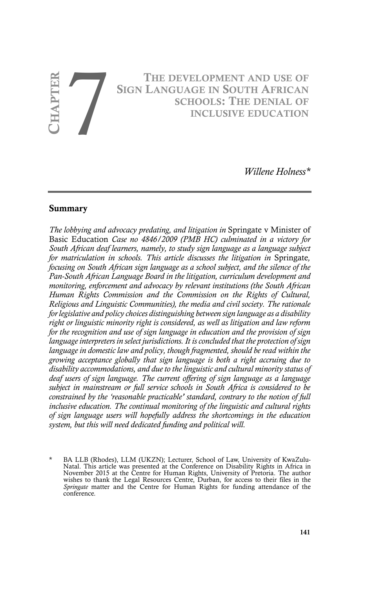# **CHAPTER 7 8 CHAPTER 7 8 CHAPTER 7 8 CHAPTER 7 8 CHOOLS: THE DENIAL OF INCLUSIVE EDUCATION SIGN LANGUAGE IN SOUTH AFRICAN SCHOOLS: THE DENIAL OF INCLUSIVE EDUCATION**

*Willene Holness\**

#### **Summary**

*The lobbying and advocacy predating, and litigation in* Springate v Minister of Basic Education *Case no 4846/2009 (PMB HC) culminated in a victory for South African deaf learners, namely, to study sign language as a language subject for matriculation in schools. This article discusses the litigation in* Springate*, focusing on South African sign language as a school subject, and the silence of the Pan-South African Language Board in the litigation, curriculum development and monitoring, enforcement and advocacy by relevant institutions (the South African Human Rights Commission and the Commission on the Rights of Cultural, Religious and Linguistic Communities), the media and civil society. The rationale for legislative and policy choices distinguishing between sign language as a disability right or linguistic minority right is considered, as well as litigation and law reform for the recognition and use of sign language in education and the provision of sign language interpreters in select jurisdictions. It is concluded that the protection of sign language in domestic law and policy, though fragmented, should be read within the growing acceptance globally that sign language is both a right accruing due to disability accommodations, and due to the linguistic and cultural minority status of deaf users of sign language. The current offering of sign language as a language subject in mainstream or full service schools in South Africa is considered to be constrained by the 'reasonable practicable' standard, contrary to the notion of full inclusive education. The continual monitoring of the linguistic and cultural rights of sign language users will hopefully address the shortcomings in the education system, but this will need dedicated funding and political will.*

BA LLB (Rhodes), LLM (UKZN); Lecturer, School of Law, University of KwaZulu-Natal. This article was presented at the Conference on Disability Rights in Africa in November 2015 at the Centre for Human Rights, University of Pretoria. The author wishes to thank the Legal Resources Centre, Durban, for access to their files in the *Springate* matter and the Centre for Human Rights for funding attendance of the conference.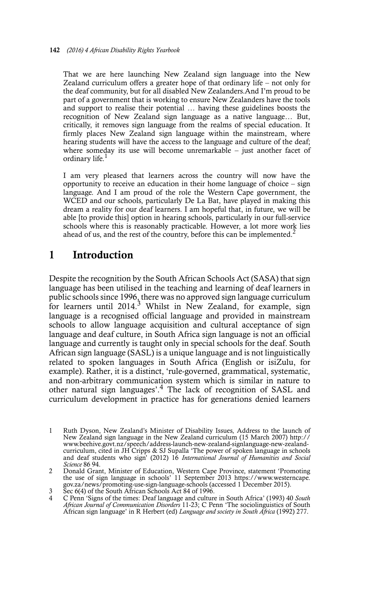That we are here launching New Zealand sign language into the New Zealand curriculum offers a greater hope of that ordinary life – not only for the deaf community, but for all disabled New Zealanders.And I'm proud to be part of a government that is working to ensure New Zealanders have the tools and support to realise their potential … having these guidelines boosts the recognition of New Zealand sign language as a native language… But, critically, it removes sign language from the realms of special education. It firmly places New Zealand sign language within the mainstream, where hearing students will have the access to the language and culture of the deaf; where someday its use will become unremarkable – just another facet of ordinary life.

I am very pleased that learners across the country will now have the opportunity to receive an education in their home language of choice – sign language. And I am proud of the role the Western Cape government, the WCED and our schools, particularly De La Bat, have played in making this dream a reality for our deaf learners. I am hopeful that, in future, we will be able [to provide this] option in hearing schools, particularly in our full-service schools where this is reasonably practicable. However, a lot more work lies ahead of us, and the rest of the country, before this can be implemented.<sup>2</sup>

## **1 Introduction**

Despite the recognition by the South African Schools Act (SASA) that sign language has been utilised in the teaching and learning of deaf learners in public schools since 1996, there was no approved sign language curriculum for learners until 2014.<sup>3</sup> Whilst in New Zealand, for example, sign language is a recognised official language and provided in mainstream schools to allow language acquisition and cultural acceptance of sign language and deaf culture, in South Africa sign language is not an official language and currently is taught only in special schools for the deaf. South African sign language (SASL) is a unique language and is not linguistically related to spoken languages in South Africa (English or isiZulu, for example). Rather, it is a distinct, 'rule-governed, grammatical, systematic, and non-arbitrary communication system which is similar in nature to other natural sign languages'.4 The lack of recognition of SASL and curriculum development in practice has for generations denied learners

<sup>1</sup> Ruth Dyson, New Zealand's Minister of Disability Issues, Address to the launch of New Zealand sign language in the New Zealand curriculum (15 March 2007) http:// www.beehive.govt.nz/speech/address-launch-new-zealand-signlanguage-new-zealandcurriculum, cited in JH Cripps & SJ Supalla 'The power of spoken language in schools and deaf students who sign' (2012) 16 *International Journal of Humanities and Social Science* 86 94.

<sup>2</sup> Donald Grant, Minister of Education, Western Cape Province, statement 'Promoting the use of sign language in schools' 11 September 2013 https://www.westerncape. gov.za/news/promoting-use-sign-language-schools (accessed 1 December 2015).

 $\frac{3}{4}$  Sec 6(4) of the South African Schools Act 84 of 1996.

<sup>4</sup> C Penn 'Signs of the times: Deaf language and culture in South Africa' (1993) 40 *South African Journal of Communication Disorders* 11-23; C Penn 'The sociolinguistics of South African sign language' in R Herbert (ed) *Language and society in South Africa* (1992) 277.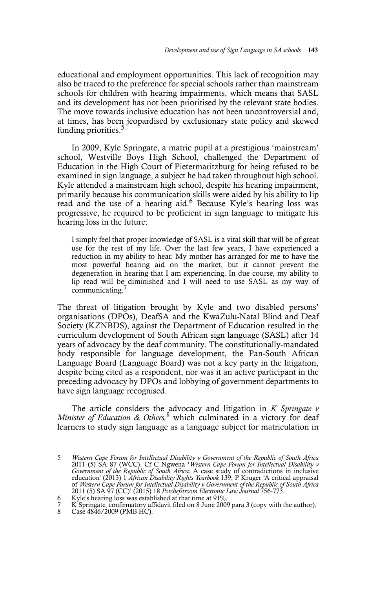educational and employment opportunities. This lack of recognition may also be traced to the preference for special schools rather than mainstream schools for children with hearing impairments, which means that SASL and its development has not been prioritised by the relevant state bodies. The move towards inclusive education has not been uncontroversial and, at times, has been jeopardised by exclusionary state policy and skewed funding priorities.<sup>5</sup>

In 2009, Kyle Springate, a matric pupil at a prestigious 'mainstream' school, Westville Boys High School, challenged the Department of Education in the High Court of Pietermaritzburg for being refused to be examined in sign language, a subject he had taken throughout high school. Kyle attended a mainstream high school, despite his hearing impairment, primarily because his communication skills were aided by his ability to lip read and the use of a hearing aid.6 Because Kyle's hearing loss was progressive, he required to be proficient in sign language to mitigate his hearing loss in the future:

I simply feel that proper knowledge of SASL is a vital skill that will be of great use for the rest of my life. Over the last few years, I have experienced a reduction in my ability to hear. My mother has arranged for me to have the most powerful hearing aid on the market, but it cannot prevent the degeneration in hearing that I am experiencing. In due course, my ability to lip read will be diminished and I will need to use SASL as my way of communicating.

The threat of litigation brought by Kyle and two disabled persons' organisations (DPOs), DeafSA and the KwaZulu-Natal Blind and Deaf Society (KZNBDS), against the Department of Education resulted in the curriculum development of South African sign language (SASL) after 14 years of advocacy by the deaf community. The constitutionally-mandated body responsible for language development, the Pan-South African Language Board (Language Board) was not a key party in the litigation, despite being cited as a respondent, nor was it an active participant in the preceding advocacy by DPOs and lobbying of government departments to have sign language recognised.

The article considers the advocacy and litigation in *K Springate v Minister of Education & Others,*<sup>8</sup> which culminated in a victory for deaf learners to study sign language as a language subject for matriculation in

<sup>5</sup> *Western Cape Forum for Intellectual Disability v Government of the Republic of South Africa* 2011 (5) SA 87 (WCC). Cf C Ngwena '*Western Cape Forum for Intellectual Disability v Government of the Republic of South Africa:* A case study of contradictions in inclusive education' (2013) 1 *African Disability Rights Yearbook* 139; P Kruger 'A critical appraisal of *Western Cape Forum for Intellectual Disability v Government of the Republic of South Africa* 2011 (5) SA 97 (CC)' (2015) 18 *Potchefstroom Electronic Law Journal* 756-773.

Kyle's hearing loss was established at that time at 91%.

<sup>7</sup> K Springate, confirmatory affidavit filed on 8 June 2009 para 3 (copy with the author).

Case 4846/2009 (PMB HC).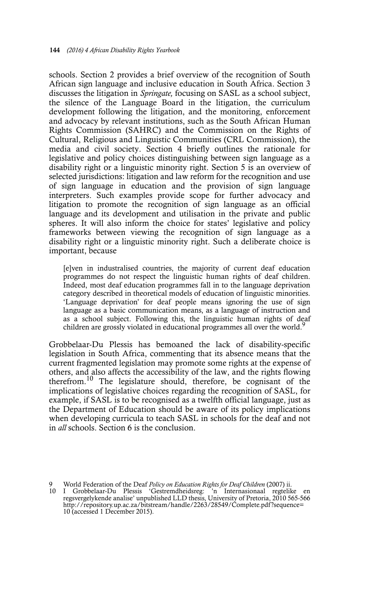schools. Section 2 provides a brief overview of the recognition of South African sign language and inclusive education in South Africa. Section 3 discusses the litigation in *Springate,* focusing on SASL as a school subject, the silence of the Language Board in the litigation, the curriculum development following the litigation, and the monitoring, enforcement and advocacy by relevant institutions, such as the South African Human Rights Commission (SAHRC) and the Commission on the Rights of Cultural, Religious and Linguistic Communities (CRL Commission), the media and civil society. Section 4 briefly outlines the rationale for legislative and policy choices distinguishing between sign language as a disability right or a linguistic minority right. Section 5 is an overview of selected jurisdictions: litigation and law reform for the recognition and use of sign language in education and the provision of sign language interpreters. Such examples provide scope for further advocacy and litigation to promote the recognition of sign language as an official language and its development and utilisation in the private and public spheres. It will also inform the choice for states' legislative and policy frameworks between viewing the recognition of sign language as a disability right or a linguistic minority right. Such a deliberate choice is important, because

[e]ven in industralised countries, the majority of current deaf education programmes do not respect the linguistic human rights of deaf children. Indeed, most deaf education programmes fall in to the language deprivation category described in theoretical models of education of linguistic minorities. 'Language deprivation' for deaf people means ignoring the use of sign language as a basic communication means, as a language of instruction and as a school subject. Following this, the linguistic human rights of deaf children are grossly violated in educational programmes all over the world.<sup>9</sup>

Grobbelaar-Du Plessis has bemoaned the lack of disability-specific legislation in South Africa, commenting that its absence means that the current fragmented legislation may promote some rights at the expense of others, and also affects the accessibility of the law, and the rights flowing therefrom.10 The legislature should, therefore, be cognisant of the implications of legislative choices regarding the recognition of SASL, for example, if SASL is to be recognised as a twelfth official language, just as the Department of Education should be aware of its policy implications when developing curricula to teach SASL in schools for the deaf and not in *all* schools. Section 6 is the conclusion.

<sup>9</sup> World Federation of the Deaf *Policy on Education Rights for Deaf Children* (2007) ii.<br>10 I Grobbelaar-Du Plessis 'Gestremdheidsreg: 'n Internasionaal regtelike en<br>regsvergelykende analise' unpublished LLD thesis, Univer http://repository.up.ac.za/bitstream/handle/2263/28549/Complete.pdf?sequence= 10 (accessed 1 December 2015).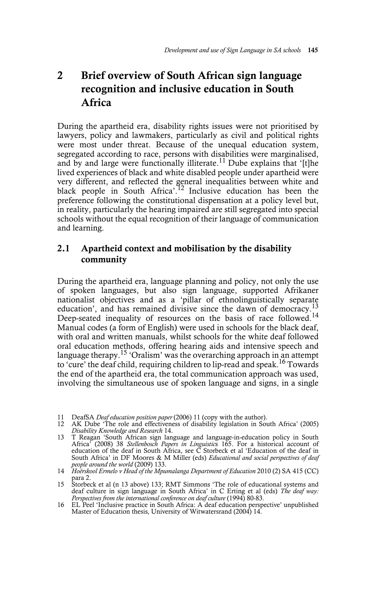# **2 Brief overview of South African sign language recognition and inclusive education in South Africa**

During the apartheid era, disability rights issues were not prioritised by lawyers, policy and lawmakers, particularly as civil and political rights were most under threat. Because of the unequal education system, segregated according to race, persons with disabilities were marginalised, and by and large were functionally illiterate.<sup>11</sup> Dube explains that '[t]he lived experiences of black and white disabled people under apartheid were very different, and reflected the general inequalities between white and black people in South Africa'.<sup>12</sup> Inclusive education has been the preference following the constitutional dispensation at a policy level but, in reality, particularly the hearing impaired are still segregated into special schools without the equal recognition of their language of communication and learning.

#### **2.1 Apartheid context and mobilisation by the disability community**

During the apartheid era, language planning and policy, not only the use of spoken languages, but also sign language, supported Afrikaner nationalist objectives and as a 'pillar of ethnolinguistically separate education', and has remained divisive since the dawn of democracy.<sup>13</sup> Deep-seated inequality of resources on the basis of race followed.<sup>14</sup> Manual codes (a form of English) were used in schools for the black deaf, with oral and written manuals, whilst schools for the white deaf followed oral education methods, offering hearing aids and intensive speech and language therapy.<sup>15</sup> 'Oralism' was the overarching approach in an attempt to 'cure' the deaf child, requiring children to lip-read and speak.<sup>16</sup> Towards the end of the apartheid era, the total communication approach was used, involving the simultaneous use of spoken language and signs, in a single

<sup>11</sup> DeafSA *Deaf education position paper* (2006) 11 (copy with the author). 12 AK Dube 'The role and effectiveness of disability legislation in South Africa' (2005) *Disability Knowledge and Research* 14.

<sup>13</sup> T Reagan 'South African sign language and language-in-education policy in South Africa' (2008) 38 *Stellenbosch Papers in Linguistic*s 165. For a historical account of education of the deaf in South Africa, see C Storbeck et al 'Education of the deaf in South Africa' in DF Moores & M Miller (eds) *Educational and social perspectives of deaf people around the world* (2009) 133. 14 *Hoërskool Ermelo v Head of the Mpumalanga Department of Education* 2010 (2) SA 415 (CC)

para 2.

<sup>15</sup> Storbeck et al (n 13 above) 133; RMT Simmons 'The role of educational systems and deaf culture in sign language in South Africa' in C Erting et al (eds) *The deaf way: Perspectives from the international conference on deaf culture* (1994) 80-83.

<sup>16</sup> EL Peel 'Inclusive practice in South Africa: A deaf education perspective' unpublished Master of Education thesis, University of Witwatersrand (2004) 14.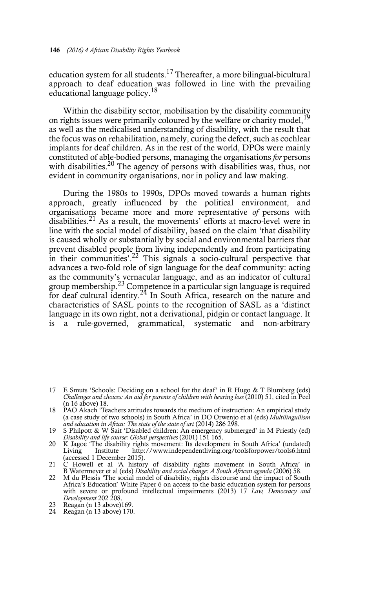education system for all students.17 Thereafter, a more bilingual-bicultural approach to deaf education was followed in line with the prevailing educational language policy.<sup>18</sup>

Within the disability sector, mobilisation by the disability community on rights issues were primarily coloured by the welfare or charity model,  $19$ as well as the medicalised understanding of disability, with the result that the focus was on rehabilitation, namely, curing the defect, such as cochlear implants for deaf children. As in the rest of the world, DPOs were mainly constituted of able-bodied persons, managing the organisations *for* persons with disabilities.<sup>20</sup> The agency of persons with disabilities was, thus, not evident in community organisations, nor in policy and law making.

During the 1980s to 1990s, DPOs moved towards a human rights approach, greatly influenced by the political environment, and organisations became more and more representative *of* persons with disabilities.<sup>21</sup> As a result, the movements' efforts at macro-level were in line with the social model of disability, based on the claim 'that disability is caused wholly or substantially by social and environmental barriers that prevent disabled people from living independently and from participating in their communities'.<sup>22</sup> This signals a socio-cultural perspective that advances a two-fold role of sign language for the deaf community: acting as the community's vernacular language, and as an indicator of cultural group membership.<sup>23</sup> Competence in a particular sign language is required for deaf cultural identity.<sup>24</sup> In South Africa, research on the nature and characteristics of SASL points to the recognition of SASL as a 'distinct language in its own right, not a derivational, pidgin or contact language. It is a rule-governed, grammatical, systematic and non-arbitrary

- 21 C Howell et al 'A history of disability rights movement in South Africa' in B Watermeyer et al (eds) *Disability and social change: A South African agenda* (2006) 58.
- 22 M du Plessis 'The social model of disability, rights discourse and the impact of South Africa's Education' White Paper 6 on access to the basic education system for persons with severe or profound intellectual impairments (2013) 17 *Law, Democracy and Development* 202 208.
- $23$  Reagan (n 13 above)169.
- 24 Reagan (n 13 above) 170.

<sup>17</sup> E Smuts 'Schools: Deciding on a school for the deaf' in R Hugo & T Blumberg (eds) *Challenges and choices: An aid for parents of children with hearing loss* (2010) 51, cited in Peel (n 16 above) 18.

<sup>18</sup> PAO Akach 'Teachers attitudes towards the medium of instruction: An empirical study (a case study of two schools) in South Africa' in DO Orwenjo et al (eds) *Multilinguilism and education in Africa: The state of the state of art* (2014) 286 298.

<sup>19</sup> S Philpott & W Sait 'Disabled children: An emergency submerged' in M Priestly (ed) *Disability and life course: Global perspectives* (2001) 151 165. 20 K Jagoe 'The disability rights movement: Its development in South Africa' (undated)

Living Institute http://www.independentliving.org/toolsforpower/tools6.html (accessed 1 December 2015).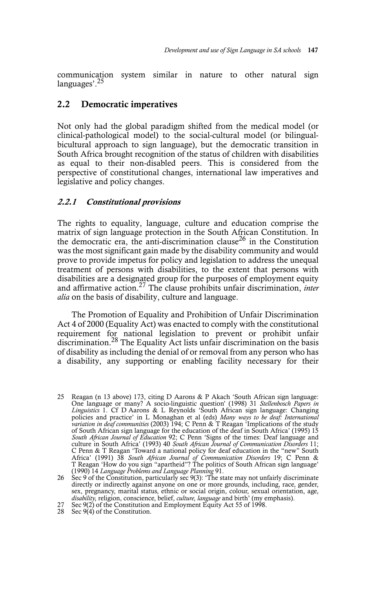communication system similar in nature to other natural sign languages'.<sup>25</sup>

#### **2.2 Democratic imperatives**

Not only had the global paradigm shifted from the medical model (or clinical-pathological model) to the social-cultural model (or bilingualbicultural approach to sign language), but the democratic transition in South Africa brought recognition of the status of children with disabilities as equal to their non-disabled peers. This is considered from the perspective of constitutional changes, international law imperatives and legislative and policy changes.

#### **2.2.1 Constitutional provisions**

The rights to equality, language, culture and education comprise the matrix of sign language protection in the South African Constitution. In the democratic era, the anti-discrimination clause<sup>26</sup> in the Constitution was the most significant gain made by the disability community and would prove to provide impetus for policy and legislation to address the unequal treatment of persons with disabilities, to the extent that persons with disabilities are a designated group for the purposes of employment equity and affirmative action.27 The clause prohibits unfair discrimination, *inter alia* on the basis of disability, culture and language.

The Promotion of Equality and Prohibition of Unfair Discrimination Act 4 of 2000 (Equality Act) was enacted to comply with the constitutional requirement for national legislation to prevent or prohibit unfair discrimination.<sup>28</sup> The Equality Act lists unfair discrimination on the basis of disability as including the denial of or removal from any person who has a disability, any supporting or enabling facility necessary for their

- 
- 28 Sec  $9(4)$  of the Constitution.

<sup>25</sup> Reagan (n 13 above) 173, citing D Aarons & P Akach 'South African sign language: One language or many? A socio-linguistic question' (1998) 31 *Stellenbosch Papers in Linguistics* 1. Cf D Aarons & L Reynolds 'South African sign language: Changing policies and practice' in L Monaghan et al (eds) *Many ways to be deaf: International variation in deaf communities* (2003) 194; C Penn & T Reagan 'Implications of the study of South African sign language for the education of the deaf in South Africa' (1995) 15 *South African Journal of Education* 92; C Penn 'Signs of the times: Deaf language and culture in South Africa' (1993) 40 South African Journal of Communication Disorders 11;<br>C Penn & T Reagan 'Toward a national policy for deaf education in the "new" South<br>Africa' (1991) 38 South African Journal of Communica (1990) 14 *Language Problems and Language Planning* 91.

<sup>26</sup> Sec 9 of the Constitution, particularly sec 9(3): 'The state may not unfairly discriminate directly or indirectly against anyone on one or more grounds, including, race, gender, sex, pregnancy, marital status, ethnic or social origin, colour, sexual orientation, age, *disability*, religion, conscience, belief, *culture*, *language* and birth' (my emphasis).<br>27 Sec 9(2) of the Constitution and Empl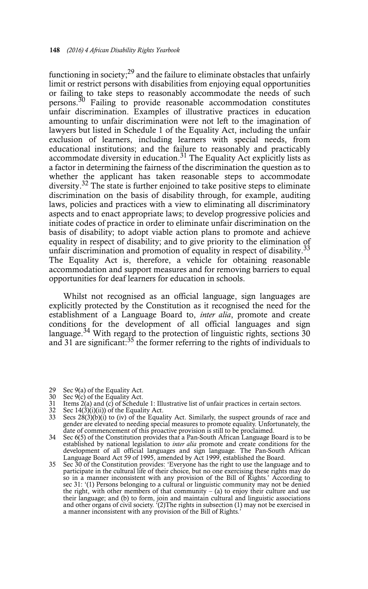functioning in society; $^{29}$  and the failure to eliminate obstacles that unfairly limit or restrict persons with disabilities from enjoying equal opportunities or failing to take steps to reasonably accommodate the needs of such persons.30 Failing to provide reasonable accommodation constitutes unfair discrimination. Examples of illustrative practices in education amounting to unfair discrimination were not left to the imagination of lawyers but listed in Schedule 1 of the Equality Act, including the unfair exclusion of learners, including learners with special needs, from educational institutions; and the failure to reasonably and practicably accommodate diversity in education.<sup>31</sup> The Equality Act explicitly lists as a factor in determining the fairness of the discrimination the question as to whether the applicant has taken reasonable steps to accommodate diversity.<sup>32</sup> The state is further enjoined to take positive steps to eliminate discrimination on the basis of disability through, for example, auditing laws, policies and practices with a view to eliminating all discriminatory aspects and to enact appropriate laws; to develop progressive policies and initiate codes of practice in order to eliminate unfair discrimination on the basis of disability; to adopt viable action plans to promote and achieve equality in respect of disability; and to give priority to the elimination of unfair discrimination and promotion of equality in respect of disability.<sup>33</sup> The Equality Act is, therefore, a vehicle for obtaining reasonable accommodation and support measures and for removing barriers to equal opportunities for deaf learners for education in schools.

Whilst not recognised as an official language, sign languages are explicitly protected by the Constitution as it recognised the need for the establishment of a Language Board to, *inter alia*, promote and create conditions for the development of all official languages and sign language.<sup>34</sup> With regard to the protection of linguistic rights, sections  $30$ and 31 are significant: $35$  the former referring to the rights of individuals to

- 29 Sec 9(a) of the Equality Act.<br>30 Sec 9(c) of the Equality Act.
- 30 Sec 9(c) of the Equality Act.
- 31 Items 2(a) and (c) of Schedule 1: Illustrative list of unfair practices in certain sectors.
- 32 Sec  $14(\hat{3})(i)(ii)$  of the Equality Act.
- 33 Secs 28(3)(b)(i) to (iv) of the Equality Act. Similarly, the suspect grounds of race and gender are elevated to needing special measures to promote equality. Unfortunately, the date of commencement of this proactive provision is still to be proclaimed.
- 34 Sec 6(5) of the Constitution provides that a Pan-South African Language Board is to be established by national legislation to *inter alia* promote and create conditions for the development of all official languages and sign language. The Pan-South African<br>Language Board Act 59 of 1995, amended by Act 1999, e
- 35 Sec 30 of the Constitution provides: 'Everyone has the right to use the language and to participate in the cultural life of their choice, but no one exercising these rights may do so in a manner inconsistent with any provision of the Bill of Rights.' According to sec 31: '(1) Persons belonging to a cultural or linguistic community may not be denied the right, with other members of that community  $-$  (a) to enjoy their culture and use their language; and (b) to form, join and maintain cultural and linguistic associations and other organs of civil society. '(2)The rights in subsection (1) may not be exercised in a manner inconsistent with any provision of the Bill of Rights.'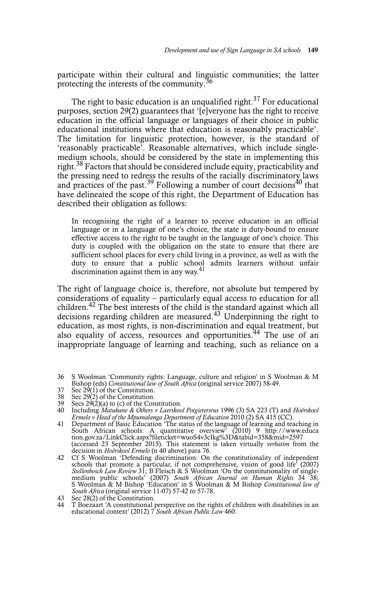participate within their cultural and linguistic communities; the latter protecting the interests of the community.<sup>36</sup>

The right to basic education is an unqualified right.<sup>37</sup> For educational purposes, section 29(2) guarantees that '[e]veryone has the right to receive education in the official language or languages of their choice in public educational institutions where that education is reasonably practicable'. The limitation for linguistic protection, however, is the standard of 'reasonably practicable'. Reasonable alternatives, which include singlemedium schools, should be considered by the state in implementing this right.<sup>38</sup> Factors that should be considered include equity, practicability and the pressing need to redress the results of the racially discriminatory laws and practices of the past.<sup>39</sup> Following a number of court decisions<sup>40</sup> that have delineated the scope of this right, the Department of Education has described their obligation as follows:

In recognising the right of a learner to receive education in an official language or in a language of one's choice, the state is duty-bound to ensure effective access to the right to be taught in the language of one's choice. This duty is coupled with the obligation on the state to ensure that there are sufficient school places for every child living in a province, as well as with the duty to ensure that a public school admits learners without unfair discrimination against them in any way.<sup>41</sup>

The right of language choice is, therefore, not absolute but tempered by considerations of equality – particularly equal access to education for all children.<sup>42</sup> The best interests of the child is the standard against which all decisions regarding children are measured.<sup>43</sup> Underpinning the right to education, as most rights, is non-discrimination and equal treatment, but also equality of access, resources and opportunities.<sup>44</sup> The use of an inappropriate language of learning and teaching, such as reliance on a

- 36 S Woolman 'Community rights: Language, culture and religion' in S Woolman & M Bishop (eds) *Constitutional law of South Africa* (original service 2007) 58-49.
- 37 Sec  $2\dot{9}$ (1) of the Constitution.<br>38 Sec 29(2) of the Constitution.
- 38 Sec 29(2) of the Constitution.
- 39 Secs 29(2)(a) to (c) of the Constitution.
- 40 Including *Matukane & Others v Laerskool Potgietersrus* 1996 (3) SA 223 (T) and *Hoërskool Ermelo v Head of the Mpumalanga Department of Education* 2010 (2) SA 415 (CC). 41 Department of Basic Education 'The status of the language of learning and teaching in
- South African schools: A quantitative overview' (2010) 9 http://www.educa tion.gov.za/LinkClick.aspx?fileticket=wuoS4v3cIkg%3D&tabid=358&mid=2597 (accessed 23 September 2015). This statement is taken virtually *verbatim* from the decision in *Hoërskool Ermelo* (n 40 above) para 76.
- 42 Cf S Woolman 'Defending discrimination: On the constitutionality of independent schools that promote a particular, if not comprehensive, vision of good life<sup>7</sup> (2007)<br>Stellenbosch Law Review 31; B Fleisch & S Woolman 'On the constitutionality of single-<br>medium public schools' (2007) South African Jour S Woolman & M Bishop 'Education' in S Woolman & M Bishop *Constitutional law of South Africa* (original service 11-07) 57-42 to 57-78.

<sup>43</sup> Sec 28(2) of the Constitution.

<sup>44</sup> T Boezaart 'A constitutional perspective on the rights of children with disabilities in an educational context' (2012) 7 *South African Public Law* 460.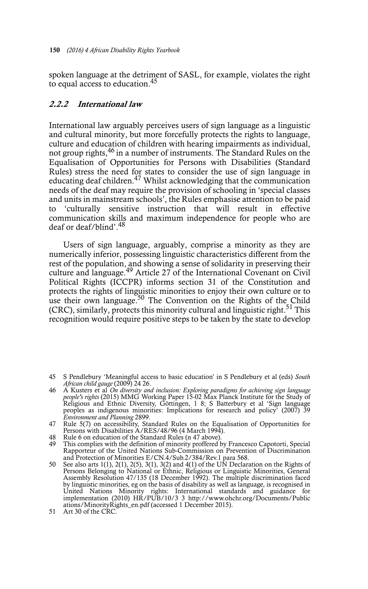spoken language at the detriment of SASL, for example, violates the right to equal access to education.45

#### **2.2.2 International law**

International law arguably perceives users of sign language as a linguistic and cultural minority, but more forcefully protects the rights to language, culture and education of children with hearing impairments as individual, not group rights,46 in a number of instruments. The Standard Rules on the Equalisation of Opportunities for Persons with Disabilities (Standard Rules) stress the need for states to consider the use of sign language in educating deaf children.<sup>47</sup> Whilst acknowledging that the communication needs of the deaf may require the provision of schooling in 'special classes and units in mainstream schools', the Rules emphasise attention to be paid to 'culturally sensitive instruction that will result in effective communication skills and maximum independence for people who are deaf or deaf/blind'.48

Users of sign language, arguably, comprise a minority as they are numerically inferior, possessing linguistic characteristics different from the rest of the population, and showing a sense of solidarity in preserving their culture and language.<sup>49</sup> Article 27 of the International Covenant on Civil Political Rights (ICCPR) informs section 31 of the Constitution and protects the rights of linguistic minorities to enjoy their own culture or to use their own language.<sup>50</sup> The Convention on the Rights of the Child (CRC), similarly, protects this minority cultural and linguistic right.<sup>51</sup> This recognition would require positive steps to be taken by the state to develop

46 A Kusters et al On diversity and inclusion: Exploring paradigms for achieving sign language people's rights (2015) MMG Working Paper 15-02 Max Planck Institute for the Study of Religious and Ethnic Diversity, Göttingen, *Environment and Planning* 2899.

- 48 Rule 6 on education of the Standard Rules (n 47 above).
- 49 This complies with the definition of minority proffered by Francesco Capotorti, Special Rapporteur of the United Nations Sub-Commission on Prevention of Discrimination and Protection of Minorities E/CN.4/Sub.2/384/Rev.1 para 568.
- 50 See also arts 1(1), 2(1), 2(5), 3(1), 3(2) and 4(1) of the UN Declaration on the Rights of Persons Belonging to National or Ethnic, Religious or Linguistic Minorities, General Assembly Resolution 47/135 (18 December 1992). The multiple discrimination faced by linguistic minorities, eg on the basis of disability as well as language, is recognised in United Nations Minority rights: International standards and guidance for implementation (2010) HR/PUB/10/3 3 http://www.ohchr.org/Documents/Public ations/MinorityRights en.pdf (accessed 1 December 2015).
- 51 Art 30 of the CRC.

<sup>45</sup> S Pendlebury 'Meaningful access to basic education' in S Pendlebury et al (eds) *South African child gauge* (2009) 24 26.

<sup>47</sup> Rule 5(7) on accessibility, Standard Rules on the Equalisation of Opportunities for Persons with Disabilities A/RES/48/96 (4 March 1994).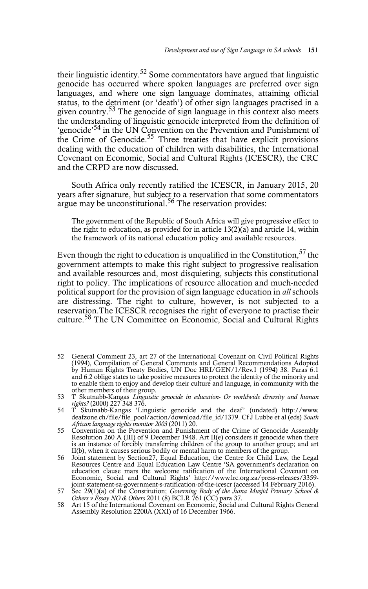their linguistic identity.52 Some commentators have argued that linguistic genocide has occurred where spoken languages are preferred over sign languages, and where one sign language dominates, attaining official status, to the detriment (or 'death') of other sign languages practised in a given country.<sup>53</sup> The genocide of sign language in this context also meets the understanding of linguistic genocide interpreted from the definition of 'genocide'<sup>54</sup> in the UN Convention on the Prevention and Punishment of the Crime of Genocide.<sup>55</sup> Three treaties that have explicit provisions dealing with the education of children with disabilities, the International Covenant on Economic, Social and Cultural Rights (ICESCR), the CRC and the CRPD are now discussed.

South Africa only recently ratified the ICESCR, in January 2015, 20 years after signature, but subject to a reservation that some commentators argue may be unconstitutional.<sup>56</sup> The reservation provides:

The government of the Republic of South Africa will give progressive effect to the right to education, as provided for in article 13(2)(a) and article 14, within the framework of its national education policy and available resources.

Even though the right to education is unqualified in the Constitution.<sup>57</sup> the government attempts to make this right subject to progressive realisation and available resources and, most disquieting, subjects this constitutional right to policy. The implications of resource allocation and much-needed political support for the provision of sign language education in *all* schools are distressing. The right to culture, however, is not subjected to a reservation.The ICESCR recognises the right of everyone to practise their culture.<sup>58</sup> The UN Committee on Economic, Social and Cultural Rights

52 General Comment 23, art 27 of the International Covenant on Civil Political Rights (1994), Compilation of General Comments and General Recommendations Adopted by Human Rights Treaty Bodies, UN Doc HRI/GEN/1/Rev.1 (1994) 38. Paras 6.1 and 6.2 oblige states to take positive measures to protect the identity of the minority and to enable them to enjoy and develop their culture and language, in community with the other members of their group.

<sup>53</sup> T Skutnabb-Kangas *Linguistic genocide in education- Or worldwide diversity and human rights?* (2000) 227 348 376.

<sup>54</sup> T Skutnabb-Kangas 'Linguistic genocide and the deaf' (undated) http://www. deafzone.ch/file/file\_pool/action/download/file\_id/1379. Cf J Lubbe et al (eds) *South African language rights monitor 2003* (2011) 20.

<sup>55</sup> Convention on the Prevention and Punishment of the Crime of Genocide Assembly Resolution 260 A (III) of 9 December 1948. Art II(e) considers it genocide when there is an instance of forcibly transferring children of the group to another group; and art II(b), when it causes serious bodily or mental harm to members of the group.

<sup>56</sup> Joint statement by Section27, Equal Education, the Centre for Child Law, the Legal Resources Centre and Equal Education Law Centre 'SA government's declaration on education clause mars the welcome ratification of the International Covenant on Economic, Social and Cultural Rights' http://www.lrc.org.za/press-releases/3359-

joint-statement-sa-government-s-ratification-of-the-icescr (accessed 14 February 2016).<br>
Sec 29(1)(a) of the Constitution; *Governing Body of the Juma Musjid Primary School &*<br> *Others v Essay NO & Others* 2011 (8) BCLR 76

Assembly Resolution 2200A (XXI) of 16 December 1966.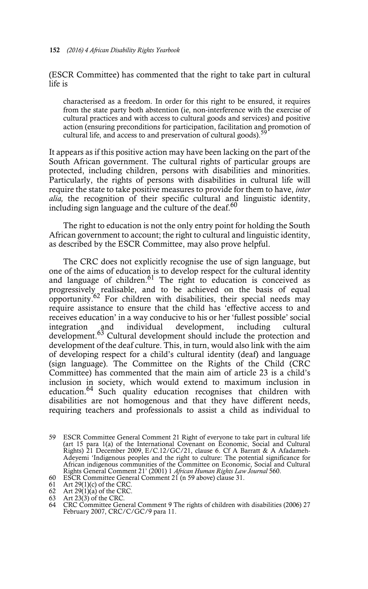(ESCR Committee) has commented that the right to take part in cultural life is

characterised as a freedom. In order for this right to be ensured, it requires from the state party both abstention (ie, non-interference with the exercise of cultural practices and with access to cultural goods and services) and positive action (ensuring preconditions for participation, facilitation and promotion of cultural life, and access to and preservation of cultural goods).<sup>59</sup>

It appears as if this positive action may have been lacking on the part of the South African government. The cultural rights of particular groups are protected, including children, persons with disabilities and minorities. Particularly, the rights of persons with disabilities in cultural life will require the state to take positive measures to provide for them to have, *inter alia,* the recognition of their specific cultural and linguistic identity, including sign language and the culture of the deaf. $60$ 

The right to education is not the only entry point for holding the South African government to account; the right to cultural and linguistic identity, as described by the ESCR Committee, may also prove helpful.

The CRC does not explicitly recognise the use of sign language, but one of the aims of education is to develop respect for the cultural identity and language of children. $61$  The right to education is conceived as progressively realisable, and to be achieved on the basis of equal opportunity.<sup>62</sup> For children with disabilities, their special needs may require assistance to ensure that the child has 'effective access to and receives education' in a way conducive to his or her 'fullest possible' social integration and individual development, including cultural development.<sup>63</sup> Cultural development should include the protection and development of the deaf culture. This, in turn, would also link with the aim of developing respect for a child's cultural identity (deaf) and language (sign language). The Committee on the Rights of the Child (CRC Committee) has commented that the main aim of article 23 is a child's inclusion in society, which would extend to maximum inclusion in education.<sup>64</sup> Such quality education recognises that children with disabilities are not homogenous and that they have different needs, requiring teachers and professionals to assist a child as individual to

<sup>59</sup> ESCR Committee General Comment 21 Right of everyone to take part in cultural life (art 15 para 1(a) of the International Covenant on Economic, Social and Cultural Rights) 21 December 2009, E/C.12/GC/21, clause 6. Cf A Barratt & A Afadameh-Adeyemi 'Indigenous peoples and the right to culture: The potential significance for African indigenous communities of the Committee on Economic, Social and Cultural Rights General Comment 21' (2001) 1 *African Human Rights Law Journal* 560. 60 ESCR Committee General Comment 21 (n 59 above) clause 31.

<sup>61</sup> Art 29(1)(c) of the CRC. 62 Art 29(1)(a) of the CRC. 63 Art 23(3) of the CRC.

<sup>64</sup> CRC Committee General Comment 9 The rights of children with disabilities (2006) 27 February 2007, CRC/C/GC/9 para 11.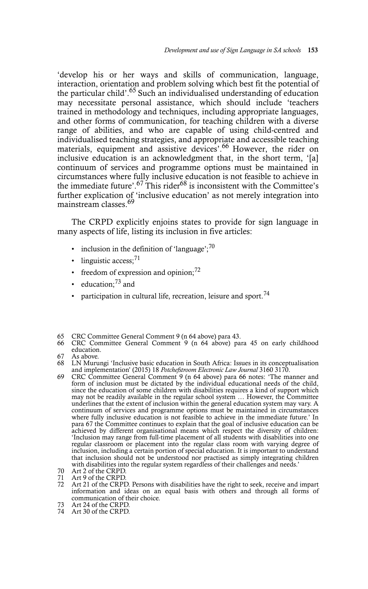'develop his or her ways and skills of communication, language, interaction, orientation and problem solving which best fit the potential of the particular child'.<sup>65</sup> Such an individualised understanding of education may necessitate personal assistance, which should include 'teachers trained in methodology and techniques, including appropriate languages, and other forms of communication, for teaching children with a diverse range of abilities, and who are capable of using child-centred and individualised teaching strategies, and appropriate and accessible teaching materials, equipment and assistive devices'.<sup>66</sup> However, the rider on inclusive education is an acknowledgment that, in the short term, '[a] continuum of services and programme options must be maintained in circumstances where fully inclusive education is not feasible to achieve in the immediate future'.<sup>67</sup> This rider<sup>68</sup> is inconsistent with the Committee's further explication of 'inclusive education' as not merely integration into mainstream classes.<sup>69</sup>

The CRPD explicitly enjoins states to provide for sign language in many aspects of life, listing its inclusion in five articles:

- inclusion in the definition of 'language'; $^{70}$
- linguistic access; $^{71}$
- freedom of expression and opinion; $^{72}$
- education; $^{73}$  and
- participation in cultural life, recreation, leisure and sport.<sup>74</sup>

- 66 CRC Committee General Comment 9 (n 64 above) para 45 on early childhood education.<br>As above.
- 67 As above.

69 CRC Committee General Comment 9 (n 64 above) para 66 notes: 'The manner and form of inclusion must be dictated by the individual educational needs of the child, since the education of some children with disabilities requires a kind of support which may not be readily available in the regular school system … However, the Committee underlines that the extent of inclusion within the general education system may vary. A continuum of services and programme options must be maintained in circumstances where fully inclusive education is not feasible to achieve in the immediate future.' In para 67 the Committee continues to explain that the goal of inclusive education can be achieved by different organisational means which respect the diversity of children: 'Inclusion may range from full-time placement of all students with disabilities into one regular classroom or placement into the regular class room with varying degree of inclusion, including a certain portion of special education. It is important to understand that inclusion should not be understood nor practised as simply integrating children with disabilities into the regular system regardless of their challenges and needs.

- 73 Art 24 of the CRPD.
- 74 Art 30 of the CRPD.

<sup>65</sup> CRC Committee General Comment 9 (n 64 above) para 43.

<sup>68</sup> LN Murungi 'Inclusive basic education in South Africa: Issues in its conceptualisation and implementation' (2015) 18 *Potchefstroom Electronic Law Journal* 3160 3170.

<sup>70</sup> Art 2 of the CRPD. 71 Art 9 of the CRPD.

<sup>72</sup> Art 21 of the CRPD. Persons with disabilities have the right to seek, receive and impart information and ideas on an equal basis with others and through all forms of communication of their choice.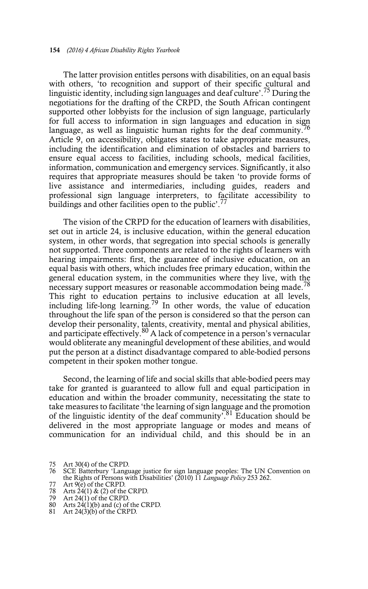The latter provision entitles persons with disabilities, on an equal basis with others, 'to recognition and support of their specific cultural and linguistic identity, including sign languages and deaf culture'.75 During the negotiations for the drafting of the CRPD, the South African contingent supported other lobbyists for the inclusion of sign language, particularly for full access to information in sign languages and education in sign language, as well as linguistic human rights for the deaf community.<sup>76</sup> Article 9, on accessibility, obligates states to take appropriate measures, including the identification and elimination of obstacles and barriers to ensure equal access to facilities, including schools, medical facilities, information, communication and emergency services. Significantly, it also requires that appropriate measures should be taken 'to provide forms of live assistance and intermediaries, including guides, readers and professional sign language interpreters, to facilitate accessibility to buildings and other facilities open to the public'.<sup>77</sup>

The vision of the CRPD for the education of learners with disabilities, set out in article 24, is inclusive education, within the general education system, in other words, that segregation into special schools is generally not supported. Three components are related to the rights of learners with hearing impairments: first, the guarantee of inclusive education, on an equal basis with others, which includes free primary education, within the general education system, in the communities where they live, with the necessary support measures or reasonable accommodation being made.<sup>78</sup> This right to education pertains to inclusive education at all levels, including life-long learning.<sup>79</sup> In other words, the value of education throughout the life span of the person is considered so that the person can develop their personality, talents, creativity, mental and physical abilities, and participate effectively.<sup>80</sup> A lack of competence in a person's vernacular would obliterate any meaningful development of these abilities, and would put the person at a distinct disadvantage compared to able-bodied persons competent in their spoken mother tongue.

Second, the learning of life and social skills that able-bodied peers may take for granted is guaranteed to allow full and equal participation in education and within the broader community, necessitating the state to take measures to facilitate 'the learning of sign language and the promotion of the linguistic identity of the deaf community'.<sup>81</sup> Education should be delivered in the most appropriate language or modes and means of communication for an individual child, and this should be in an

- 
- 77 Art 9(e) of the CRPD. 78 Arts 24(1) & (2) of the CRPD. 79 Art 24(1) of the CRPD.

- 80 Arts 24(1)(b) and (c) of the CRPD.
- 81 Art 24(3)(b) of the CRPD.

<sup>75</sup> Art 30(4) of the CRPD. 76 SCE Batterbury 'Language justice for sign language peoples: The UN Convention on the Rights of Persons with Disabilities' (2010) 11 *Language Policy* 253 262.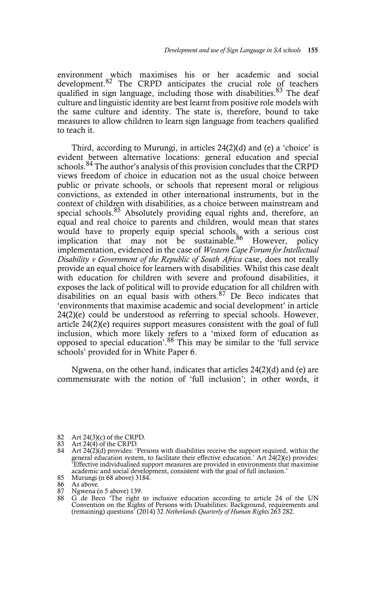environment which maximises his or her academic and social development. $82$  The CRPD anticipates the crucial role of teachers qualified in sign language, including those with disabilities.<sup>83</sup> The deaf culture and linguistic identity are best learnt from positive role models with the same culture and identity. The state is, therefore, bound to take measures to allow children to learn sign language from teachers qualified to teach it.

Third, according to Murungi, in articles 24(2)(d) and (e) a 'choice' is evident between alternative locations: general education and special schools.<sup>84</sup> The author's analysis of this provision concludes that the CRPD views freedom of choice in education not as the usual choice between public or private schools, or schools that represent moral or religious convictions, as extended in other international instruments, but in the context of children with disabilities, as a choice between mainstream and special schools.<sup>85</sup> Absolutely providing equal rights and, therefore, an equal and real choice to parents and children, would mean that states would have to properly equip special schools, with a serious cost implication that may not be sustainable.<sup>86</sup> However, policy implementation, evidenced in the case of *Western Cape Forum for Intellectual Disability v Government of the Republic of South Africa* case, does not really provide an equal choice for learners with disabilities. Whilst this case dealt with education for children with severe and profound disabilities, it exposes the lack of political will to provide education for all children with disabilities on an equal basis with others.  $87$  De Beco indicates that 'environments that maximise academic and social development' in article 24(2)(e) could be understood as referring to special schools. However, article 24(2)(e) requires support measures consistent with the goal of full inclusion, which more likely refers to a 'mixed form of education as opposed to special education'.<sup>88</sup> This may be similar to the 'full service schools' provided for in White Paper 6.

Ngwena, on the other hand, indicates that articles 24(2)(d) and (e) are commensurate with the notion of 'full inclusion'; in other words, it

- 82 Art 24(3)(c) of the CRPD.<br>83 Art 24(4) of the CRPD.
- 

85 Murungi (n 68 above) 3184.

<sup>83</sup> Art 24(4) of the CRPD. 84 Art 24(2)(d) provides: 'Persons with disabilities receive the support required, within the general education system, to facilitate their effective education.' Art 24(2)(e) provides: 'Effective individualised support measures are provided in environments that maximise academic and social development, consistent with the goal of full inclusion.'

<sup>86</sup> As above.<br>87 Ngwena (1

<sup>87</sup> Ngwena (n 5 above) 139.<br>88 G de Beco 'The right

<sup>88</sup> G de Beco 'The right to inclusive education according to article 24 of the UN Convention on the Rights of Persons with Disabilities: Background, requirements and (remaining) questions' (2014) 32 *Netherlands Quarterly of Human Rights* 263 282.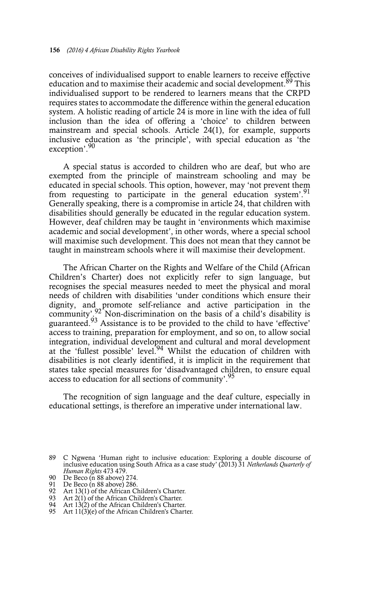conceives of individualised support to enable learners to receive effective education and to maximise their academic and social development.<sup>89</sup> This individualised support to be rendered to learners means that the CRPD requires states to accommodate the difference within the general education system. A holistic reading of article 24 is more in line with the idea of full inclusion than the idea of offering a 'choice' to children between mainstream and special schools. Article 24(1), for example, supports inclusive education as 'the principle', with special education as 'the exception'.90

A special status is accorded to children who are deaf, but who are exempted from the principle of mainstream schooling and may be educated in special schools. This option, however, may 'not prevent them from requesting to participate in the general education system<sup>'.91</sup> Generally speaking, there is a compromise in article 24, that children with disabilities should generally be educated in the regular education system. However, deaf children may be taught in 'environments which maximise academic and social development', in other words, where a special school will maximise such development. This does not mean that they cannot be taught in mainstream schools where it will maximise their development.

The African Charter on the Rights and Welfare of the Child (African Children's Charter) does not explicitly refer to sign language, but recognises the special measures needed to meet the physical and moral needs of children with disabilities 'under conditions which ensure their dignity, and promote self-reliance and active participation in the community'.<sup>92</sup> Non-discrimination on the basis of a child's disability is guaranteed.<sup>93</sup> Assistance is to be provided to the child to have 'effective' access to training, preparation for employment, and so on, to allow social integration, individual development and cultural and moral development at the 'fullest possible' level.<sup>94</sup> Whilst the education of children with disabilities is not clearly identified, it is implicit in the requirement that states take special measures for 'disadvantaged children, to ensure equal access to education for all sections of community'.<sup>95</sup>

The recognition of sign language and the deaf culture, especially in educational settings, is therefore an imperative under international law.

- 
- 94 Art 13(2) of the African Children's Charter.
- 95 Art  $11(3)(e)$  of the African Children's Charter.

<sup>89</sup> C Ngwena 'Human right to inclusive education: Exploring a double discourse of inclusive education using South Africa as a case study' (2013) 31 *Netherlands Quarterly of Human Rights* 473 479.

<sup>90</sup> De Beco (n 88 above) 274.

<sup>91</sup> De Beco (n 88 above) 286. 92 Art 13(1) of the African Children's Charter. 93 Art 2(1) of the African Children's Charter.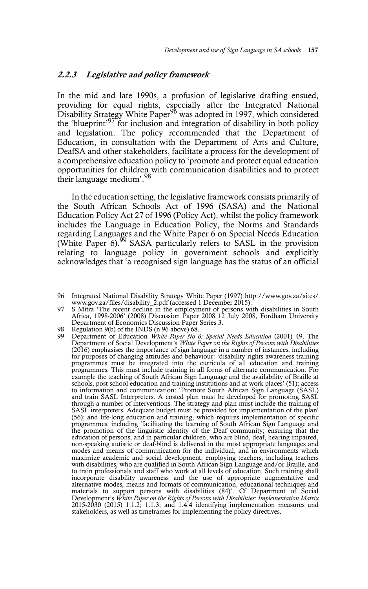#### **2.2.3 Legislative and policy framework**

In the mid and late 1990s, a profusion of legislative drafting ensued, providing for equal rights, especially after the Integrated National Disability Strategy White Paper<sup>96</sup> was adopted in 1997, which considered the 'blueprint'97 for inclusion and integration of disability in both policy and legislation. The policy recommended that the Department of Education, in consultation with the Department of Arts and Culture, DeafSA and other stakeholders, facilitate a process for the development of a comprehensive education policy to 'promote and protect equal education opportunities for children with communication disabilities and to protect their language medium'.98

In the education setting, the legislative framework consists primarily of the South African Schools Act of 1996 (SASA) and the National Education Policy Act 27 of 1996 (Policy Act), whilst the policy framework includes the Language in Education Policy, the Norms and Standards regarding Languages and the White Paper 6 on Special Needs Education (White Paper 6).<sup>99</sup> SASA particularly refers to SASL in the provision relating to language policy in government schools and explicitly acknowledges that 'a recognised sign language has the status of an official

- 97 S Mitra 'The recent decline in the employment of persons with disabilities in South Africa, 1998-2006' (2008) Discussion Paper 2008 12 July 2008, Fordham University Department of Economics Discussion Paper Series 3.
- 
- 98 Regulation 9(b) of the INDS (n 96 above) 68.<br>99 Department of Education *White Paper No 6: Special Needs Education* (2001) 49. The<br>Department of Social Development's *White Paper on the Rights of Persons with Disabiliti* (2016) emphasises the importance of sign language in a number of instances, including for purposes of changing attitudes and behaviour: 'disability rights awareness training programmes must be integrated into the curricula of all education and training programmes. This must include training in all forms of alternate communication. For example the teaching of South African Sign Language and the availability of Braille at schools, post school education and training institutions and at work places' (51); access to information and communication: 'Promote South African Sign Language (SASL) and train SASL Interpreters. A costed plan must be developed for promoting SASL through a number of interventions. The strategy and plan must include the training of SASL interpreters. Adequate budget must be provided for implementation of the plan' (56); and life-long education and training, which requires implementation of specific programmes, including 'facilitating the learning of South African Sign Language and the promotion of the linguistic identity of the Deaf community; ensuring that the education of persons, and in particular children, who are blind, deaf, hearing impaired, non-speaking autistic or deaf-blind is delivered in the most appropriate languages and modes and means of communication for the individual, and in environments which maximize academic and social development; employing teachers, including teachers with disabilities, who are qualified in South African Sign Language and/or Braille, and to train professionals and staff who work at all levels of education. Such training shall incorporate disability awareness and the use of appropriate augmentative and alternative modes, means and formats of communication, educational techniques and materials to support persons with disabilities (84)'. Cf Department of Social Development's *White Paper on the Rights of Persons with Disab* stakeholders, as well as timeframes for implementing the policy directives.

<sup>96</sup> Integrated National Disability Strategy White Paper (1997) http://www.gov.za/sites/ www.gov.za/files/disability\_2.pdf (accessed 1 December 2015).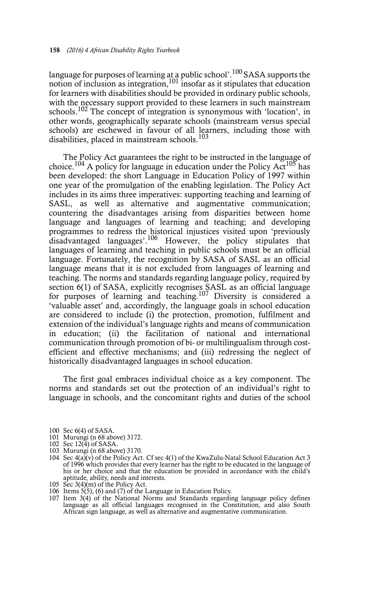language for purposes of learning at a public school'.  $^{100}\rm SASA$  supports the notion of inclusion as integration,  $101$  insofar as it stipulates that education for learners with disabilities should be provided in ordinary public schools, with the necessary support provided to these learners in such mainstream schools.<sup>102</sup> The concept of integration is synonymous with 'location', in other words, geographically separate schools (mainstream versus special schools) are eschewed in favour of all learners, including those with disabilities, placed in mainstream schools.<sup>103</sup>

The Policy Act guarantees the right to be instructed in the language of choice.<sup>104</sup> A policy for language in education under the Policy Act<sup>105</sup> has been developed: the short Language in Education Policy of 1997 within one year of the promulgation of the enabling legislation. The Policy Act includes in its aims three imperatives: supporting teaching and learning of SASL, as well as alternative and augmentative communication; countering the disadvantages arising from disparities between home language and languages of learning and teaching; and developing programmes to redress the historical injustices visited upon 'previously disadvantaged languages'.106 However, the policy stipulates that languages of learning and teaching in public schools must be an official language. Fortunately, the recognition by SASA of SASL as an official language means that it is not excluded from languages of learning and teaching. The norms and standards regarding language policy, required by section 6(1) of SASA, explicitly recognises SASL as an official language for purposes of learning and teaching.<sup>107</sup> Diversity is considered a 'valuable asset' and, accordingly, the language goals in school education are considered to include (i) the protection, promotion, fulfilment and extension of the individual's language rights and means of communication in education; (ii) the facilitation of national and international communication through promotion of bi- or multilingualism through costefficient and effective mechanisms; and (iii) redressing the neglect of historically disadvantaged languages in school education.

The first goal embraces individual choice as a key component. The norms and standards set out the protection of an individual's right to language in schools, and the concomitant rights and duties of the school

- 101 Murungi (n 68 above) 3172.
- 
- 102 Sec 12(4) of SASA. 103 Murungi (n 68 above) 3170.
- 104 Sec 4(a)(v) of the Policy Act. Cf sec 4(1) of the KwaZulu-Natal School Education Act 3 of 1996 which provides that every learner has the right to be educated in the language of his or her choice and that the education be provided in accordance with the child's aptitude, ability, needs and interests.
- 105 Sec 3(4)(m) of the Policy Act.
- 
- 106 Items 5(5), (6) and (7) of the Language in Education Policy. 107 Item 3(4) of the National Norms and Standards regarding language policy defines language as all official languages recognised in the Constitution, and also South African sign language, as well as alternative and augmentative communication.

<sup>100</sup> Sec 6(4) of SASA.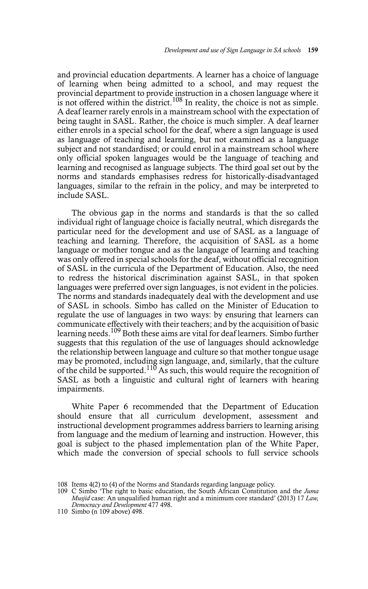and provincial education departments. A learner has a choice of language of learning when being admitted to a school, and may request the provincial department to provide instruction in a chosen language where it is not offered within the district.<sup>108</sup> In reality, the choice is not as simple. A deaf learner rarely enrols in a mainstream school with the expectation of being taught in SASL. Rather, the choice is much simpler. A deaf learner either enrols in a special school for the deaf, where a sign language is used as language of teaching and learning, but not examined as a language subject and not standardised; or could enrol in a mainstream school where only official spoken languages would be the language of teaching and learning and recognised as language subjects. The third goal set out by the norms and standards emphasises redress for historically-disadvantaged languages, similar to the refrain in the policy, and may be interpreted to include SASL.

The obvious gap in the norms and standards is that the so called individual right of language choice is facially neutral, which disregards the particular need for the development and use of SASL as a language of teaching and learning. Therefore, the acquisition of SASL as a home language or mother tongue and as the language of learning and teaching was only offered in special schools for the deaf, without official recognition of SASL in the curricula of the Department of Education. Also, the need to redress the historical discrimination against SASL, in that spoken languages were preferred over sign languages, is not evident in the policies. The norms and standards inadequately deal with the development and use of SASL in schools. Simbo has called on the Minister of Education to regulate the use of languages in two ways: by ensuring that learners can communicate effectively with their teachers; and by the acquisition of basic learning needs.<sup>109</sup> Both these aims are vital for deaf learners. Simbo further suggests that this regulation of the use of languages should acknowledge the relationship between language and culture so that mother tongue usage may be promoted, including sign language, and, similarly, that the culture of the child be supported.<sup>110</sup> As such, this would require the recognition of SASL as both a linguistic and cultural right of learners with hearing impairments.

White Paper 6 recommended that the Department of Education should ensure that all curriculum development, assessment and instructional development programmes address barriers to learning arising from language and the medium of learning and instruction. However, this goal is subject to the phased implementation plan of the White Paper, which made the conversion of special schools to full service schools

<sup>108</sup> Items 4(2) to (4) of the Norms and Standards regarding language policy.

<sup>109</sup> C Simbo 'The right to basic education, the South African Constitution and the *Juma Musjid* case: An unqualified human right and a minimum core standard' (2013) 17 *Law, Democracy and Development* 477 498.

<sup>110</sup> Simbo (n 109 above) 498.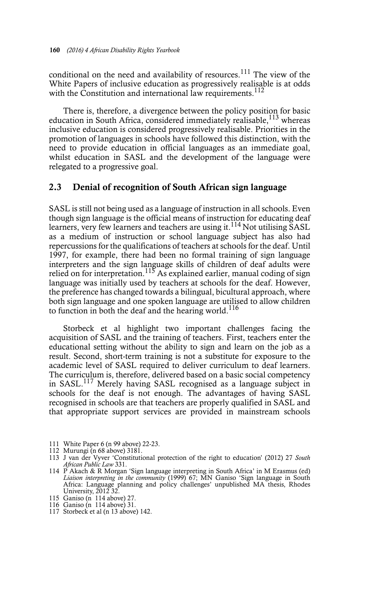conditional on the need and availability of resources.<sup>111</sup> The view of the White Papers of inclusive education as progressively realisable is at odds with the Constitution and international law requirements.<sup>112</sup>

There is, therefore, a divergence between the policy position for basic education in South Africa, considered immediately realisable,  $^{113}$  whereas inclusive education is considered progressively realisable. Priorities in the promotion of languages in schools have followed this distinction, with the need to provide education in official languages as an immediate goal, whilst education in SASL and the development of the language were relegated to a progressive goal.

#### **2.3 Denial of recognition of South African sign language**

SASL is still not being used as a language of instruction in all schools. Even though sign language is the official means of instruction for educating deaf learners, very few learners and teachers are using it.<sup>114</sup> Not utilising SASL as a medium of instruction or school language subject has also had repercussions for the qualifications of teachers at schools for the deaf. Until 1997, for example, there had been no formal training of sign language interpreters and the sign language skills of children of deaf adults were relied on for interpretation.<sup>115</sup> As explained earlier, manual coding of sign language was initially used by teachers at schools for the deaf. However, the preference has changed towards a bilingual, bicultural approach, where both sign language and one spoken language are utilised to allow children to function in both the deaf and the hearing world.<sup>116</sup>

Storbeck et al highlight two important challenges facing the acquisition of SASL and the training of teachers. First, teachers enter the educational setting without the ability to sign and learn on the job as a result. Second, short-term training is not a substitute for exposure to the academic level of SASL required to deliver curriculum to deaf learners. The curriculum is, therefore, delivered based on a basic social competency in  $SASL$ <sup>117</sup> Merely having SASL recognised as a language subject in schools for the deaf is not enough. The advantages of having SASL recognised in schools are that teachers are properly qualified in SASL and that appropriate support services are provided in mainstream schools

- 112 Murungi (n 68 above) 3181.
- 113 J van der Vyver 'Constitutional protection of the right to education' (2012) 27 *South African Public Law* 331.
- 114 P Akach & R Morgan 'Sign language interpreting in South Africa' in M Erasmus (ed) *Liaison interpreting in the community* (1999) 67; MN Ganiso 'Sign language in South Africa: Language planning and policy challenges' unpublished MA thesis, Rhodes University, 2012 32.
- 115 Ganiso (n 114 above) 27.
- 116 Ganiso (n 114 above) 31.
- 117 Storbeck et al (n 13 above) 142.

<sup>111</sup> White Paper 6 (n 99 above) 22-23.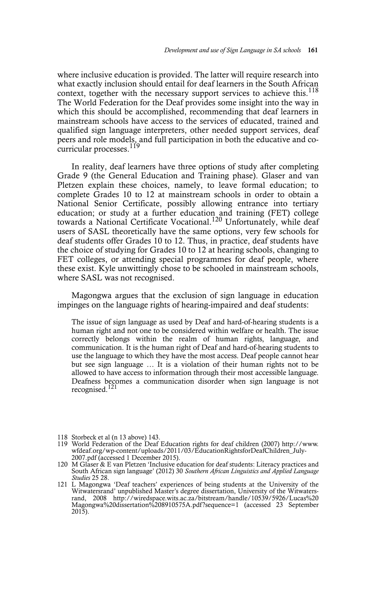where inclusive education is provided. The latter will require research into what exactly inclusion should entail for deaf learners in the South African context, together with the necessary support services to achieve this.<sup>118</sup> The World Federation for the Deaf provides some insight into the way in which this should be accomplished, recommending that deaf learners in mainstream schools have access to the services of educated, trained and qualified sign language interpreters, other needed support services, deaf peers and role models, and full participation in both the educative and cocurricular processes.<sup>119</sup>

In reality, deaf learners have three options of study after completing Grade 9 (the General Education and Training phase). Glaser and van Pletzen explain these choices, namely, to leave formal education; to complete Grades 10 to 12 at mainstream schools in order to obtain a National Senior Certificate, possibly allowing entrance into tertiary education; or study at a further education and training (FET) college towards a National Certificate Vocational.<sup>120</sup> Unfortunately, while deaf users of SASL theoretically have the same options, very few schools for deaf students offer Grades 10 to 12. Thus, in practice, deaf students have the choice of studying for Grades 10 to 12 at hearing schools, changing to FET colleges, or attending special programmes for deaf people, where these exist. Kyle unwittingly chose to be schooled in mainstream schools, where SASL was not recognised.

Magongwa argues that the exclusion of sign language in education impinges on the language rights of hearing-impaired and deaf students:

The issue of sign language as used by Deaf and hard-of-hearing students is a human right and not one to be considered within welfare or health. The issue correctly belongs within the realm of human rights, language, and communication. It is the human right of Deaf and hard-of-hearing students to use the language to which they have the most access. Deaf people cannot hear but see sign language … It is a violation of their human rights not to be allowed to have access to information through their most accessible language. Deafness becomes a communication disorder when sign language is not recognised.<sup>121</sup>

- 118 Storbeck et al (n 13 above) 143.
- 119 World Federation of the Deaf Education rights for deaf children (2007) http://www. wfdeaf.org/wp-content/uploads/2011/03/EducationRightsforDeafChildren\_July-2007.pdf (accessed 1 December 2015).
- 120 M Glaser & E van Pletzen 'Inclusive education for deaf students: Literacy practices and South African sign language' (2012) 30 *Southern African Linguistics and Applied Language Studies* 25 28.
- 121 L Magongwa 'Deaf teachers' experiences of being students at the University of the Witwatersrand' unpublished Master's degree dissertation, University of the Witwatersrand, 2008 http://wiredspace.wits.ac.za/bitstream/handle/10539/5926/Lucas%20 Magongwa%20dissertation%208910575A.pdf?sequence=1 (accessed 23 September  $201\overline{5}$ ).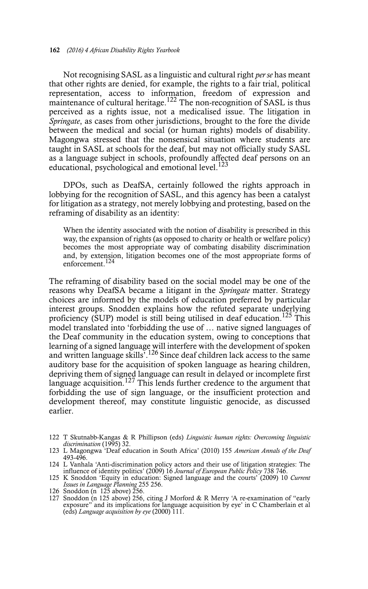Not recognising SASL as a linguistic and cultural right *per se* has meant that other rights are denied, for example, the rights to a fair trial, political representation, access to information, freedom of expression and maintenance of cultural heritage.<sup>122</sup> The non-recognition of SASL is thus perceived as a rights issue, not a medicalised issue. The litigation in *Springate*, as cases from other jurisdictions, brought to the fore the divide between the medical and social (or human rights) models of disability. Magongwa stressed that the nonsensical situation where students are taught in SASL at schools for the deaf, but may not officially study SASL as a language subject in schools, profoundly affected deaf persons on an educational, psychological and emotional level. $123$ 

DPOs, such as DeafSA, certainly followed the rights approach in lobbying for the recognition of SASL, and this agency has been a catalyst for litigation as a strategy, not merely lobbying and protesting, based on the reframing of disability as an identity:

When the identity associated with the notion of disability is prescribed in this way, the expansion of rights (as opposed to charity or health or welfare policy) becomes the most appropriate way of combating disability discrimination and, by extension, litigation becomes one of the most appropriate forms of enforcement.<sup>124</sup>

The reframing of disability based on the social model may be one of the reasons why DeafSA became a litigant in the *Springate* matter. Strategy choices are informed by the models of education preferred by particular interest groups. Snodden explains how the refuted separate underlying proficiency (SUP) model is still being utilised in deaf education.<sup>125</sup> This model translated into 'forbidding the use of … native signed languages of the Deaf community in the education system, owing to conceptions that learning of a signed language will interfere with the development of spoken and written language skills'.126 Since deaf children lack access to the same auditory base for the acquisition of spoken language as hearing children, depriving them of signed language can result in delayed or incomplete first language acquisition.<sup>127</sup> This lends further credence to the argument that forbidding the use of sign language, or the insufficient protection and development thereof, may constitute linguistic genocide, as discussed earlier.

<sup>122</sup> T Skutnabb-Kangas & R Phillipson (eds) *Linguistic human rights: Overcoming linguistic discrimination* (1995) 32.

<sup>123</sup> L Magongwa 'Deaf education in South Africa' (2010) 155 *American Annals of the Deaf* 493-496.

<sup>124</sup> L Vanhala 'Anti-discrimination policy actors and their use of litigation strategies: The influence of identity politics' (2009) 16 *Journal of European Public Policy* 738 746.

<sup>125</sup> K Snoddon 'Equity in education: Signed language and the courts' (2009) 10 *Current Issues in Language Planning* 255 256.

<sup>126</sup> Snoddon (n 125 above) 256. 127 Snoddon (n 125 above) 256, citing J Morford & R Merry 'A re-examination of "early exposure" and its implications for language acquisition by eye' in C Chamberlain et al (eds) *Language acquisition by eye* (2000) 111.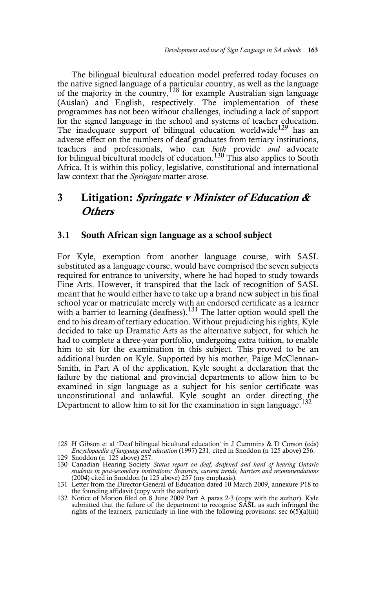The bilingual bicultural education model preferred today focuses on the native signed language of a particular country, as well as the language of the majority in the country,<sup>128</sup> for example Australian sign language (Auslan) and English, respectively. The implementation of these programmes has not been without challenges, including a lack of support for the signed language in the school and systems of teacher education. The inadequate support of bilingual education worldwide<sup>129</sup> has an adverse effect on the numbers of deaf graduates from tertiary institutions, teachers and professionals, who can *both* provide *and* advocate for bilingual bicultural models of education.<sup>130</sup> This also applies to South Africa. It is within this policy, legislative, constitutional and international law context that the *Springate* matter arose.

## **3 Litigation: Springate v Minister of Education & Others**

#### **3.1 South African sign language as a school subject**

For Kyle, exemption from another language course, with SASL substituted as a language course, would have comprised the seven subjects required for entrance to university, where he had hoped to study towards Fine Arts. However, it transpired that the lack of recognition of SASL meant that he would either have to take up a brand new subject in his final school year or matriculate merely with an endorsed certificate as a learner with a barrier to learning (deafness).<sup>131</sup> The latter option would spell the end to his dream of tertiary education. Without prejudicing his rights, Kyle decided to take up Dramatic Arts as the alternative subject, for which he had to complete a three-year portfolio, undergoing extra tuition, to enable him to sit for the examination in this subject. This proved to be an additional burden on Kyle. Supported by his mother, Paige McClennan-Smith, in Part A of the application, Kyle sought a declaration that the failure by the national and provincial departments to allow him to be examined in sign language as a subject for his senior certificate was unconstitutional and unlawful. Kyle sought an order directing the Department to allow him to sit for the examination in sign language.<sup>132</sup>

submitted that the failure of the department to recognise SASL as such infringed the rights of the learners, particularly in line with the following provisions: sec  $6(5)(a)(iii)$ 

<sup>128</sup> H Gibson et al 'Deaf bilingual bicultural education' in J Cummins & D Corson (eds) *Encyclopaedia of language and education* (1997) 231, cited in Snoddon (n 125 above) 256.

<sup>129</sup> Snoddon (n 125 above) 257.

<sup>130</sup> Canadian Hearing Society *Status report on deaf, deafened and hard of hearing Ontario students in post-secondary institutions: Statistics, current trends, barriers and recommendations* (2004) cited in Snoddon (n 125 above) 257 (my emphasis).

<sup>131</sup> Letter from the Director-General of Education dated 10 March 2009, annexure P18 to the founding affidavit (copy with the author). 132 Notice of Motion filed on 8 June 2009 Part A paras 2-3 (copy with the author). Kyle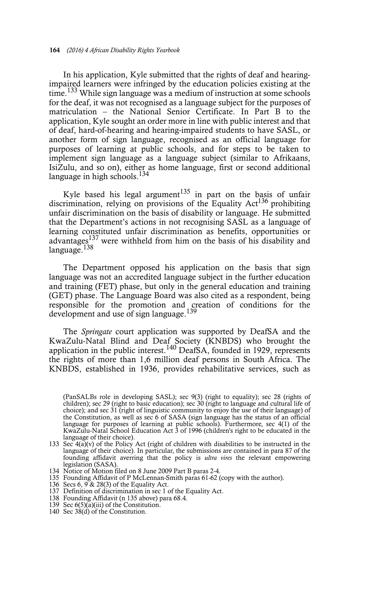In his application, Kyle submitted that the rights of deaf and hearingimpaired learners were infringed by the education policies existing at the time.<sup>133</sup> While sign language was a medium of instruction at some schools for the deaf, it was not recognised as a language subject for the purposes of matriculation – the National Senior Certificate. In Part B to the application, Kyle sought an order more in line with public interest and that of deaf, hard-of-hearing and hearing-impaired students to have SASL, or another form of sign language, recognised as an official language for purposes of learning at public schools, and for steps to be taken to implement sign language as a language subject (similar to Afrikaans, IsiZulu, and so on), either as home language, first or second additional language in high schools.<sup>134</sup>

Kyle based his legal argument<sup>135</sup> in part on the basis of unfair discrimination, relying on provisions of the Equality  $Act^{136}$  prohibiting unfair discrimination on the basis of disability or language. He submitted that the Department's actions in not recognising SASL as a language of learning constituted unfair discrimination as benefits, opportunities or advantages137 were withheld from him on the basis of his disability and language.<sup>138</sup>

The Department opposed his application on the basis that sign language was not an accredited language subject in the further education and training (FET) phase, but only in the general education and training (GET) phase. The Language Board was also cited as a respondent, being responsible for the promotion and creation of conditions for the development and use of sign language.<sup>139</sup>

The *Springate* court application was supported by DeafSA and the KwaZulu-Natal Blind and Deaf Society (KNBDS) who brought the application in the public interest.<sup>140</sup> DeafSA, founded in 1929, represents the rights of more than 1,6 million deaf persons in South Africa. The KNBDS, established in 1936, provides rehabilitative services, such as

- 134 Notice of Motion filed on 8 June 2009 Part B paras 2-4.
- 135 Founding Affidavit of P McLennan-Smith paras 61-62 (copy with the author).
- 136 Secs 6,  $9 \times 28(3)$  of the Equality Act.
- 137 Definition of discrimination in sec 1 of the Equality Act.
- 138 Founding Affidavit (n 135 above) para 68.4.
- 139 Sec 6(5)(a)(iii) of the Constitution.
- 140 Sec 38(d) of the Constitution.

<sup>132 (</sup>PanSALBs role in developing SASL); sec 9(3) (right to equality); sec 28 (rights of children); sec 29 (right to basic education); sec 30 (right to language and cultural life of choice); and sec 31 (right of linguistic community to enjoy the use of their language) of the Constitution, as well as sec 6 of SASA (sign language has the status of an official language for purposes of learning at public schools). Furthermore, sec 4(1) of the KwaZulu-Natal School Education Act 3 of 1996 (children's right to be educated in the language of their choice).

<sup>133</sup> Sec  $4(a)(v)$  of the Policy Act (right of children with disabilities to be instructed in the language of their choice). In particular, the submissions are contained in para 87 of the founding affidavit averring that the policy is *ultra vires* the relevant empowering legislation (SASA).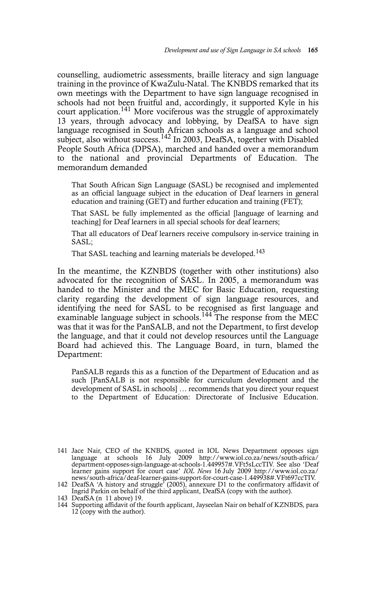counselling, audiometric assessments, braille literacy and sign language training in the province of KwaZulu-Natal. The KNBDS remarked that its own meetings with the Department to have sign language recognised in schools had not been fruitful and, accordingly, it supported Kyle in his court application.<sup>141</sup> More vociferous was the struggle of approximately 13 years, through advocacy and lobbying, by DeafSA to have sign language recognised in South African schools as a language and school subject, also without success.<sup>142</sup> In 2003, DeafSA, together with Disabled People South Africa (DPSA), marched and handed over a memorandum to the national and provincial Departments of Education. The memorandum demanded

That South African Sign Language (SASL) be recognised and implemented as an official language subject in the education of Deaf learners in general education and training (GET) and further education and training (FET);

That SASL be fully implemented as the official [language of learning and teaching] for Deaf learners in all special schools for deaf learners;

That all educators of Deaf learners receive compulsory in-service training in SASL;

That SASL teaching and learning materials be developed.<sup>143</sup>

In the meantime, the KZNBDS (together with other institutions) also advocated for the recognition of SASL. In 2005, a memorandum was handed to the Minister and the MEC for Basic Education, requesting clarity regarding the development of sign language resources, and identifying the need for SASL to be recognised as first language and examinable language subject in schools.<sup>144</sup> The response from the MEC was that it was for the PanSALB, and not the Department, to first develop the language, and that it could not develop resources until the Language Board had achieved this. The Language Board, in turn, blamed the Department:

PanSALB regards this as a function of the Department of Education and as such [PanSALB is not responsible for curriculum development and the development of SASL in schools] … recommends that you direct your request to the Department of Education: Directorate of Inclusive Education.

<sup>141</sup> Jace Nair, CEO of the KNBDS, quoted in IOL News Department opposes sign language at schools 16 July 2009 http://www.iol.co.za/news/south-africa/ department-opposes-sign-language-at-schools-1.449957#.VFt5sLccTIV. See also 'Deaf<br>learner gains support for court case' *IOL News* 16 July 2009 http://www.iol.co.za/<br>news/south-africa/deaf-learner-gains-support-for-court-c

<sup>142</sup> DeafSA 'A history and struggle' (2005), annexure D1 to the confirmatory affidavit of Ingrid Parkin on behalf of the third applicant, DeafSA (copy with the author).

<sup>143</sup> DeafSA (n 11 above) 19.

<sup>144</sup> Supporting affidavit of the fourth applicant, Jayseelan Nair on behalf of KZNBDS, para 12 (copy with the author).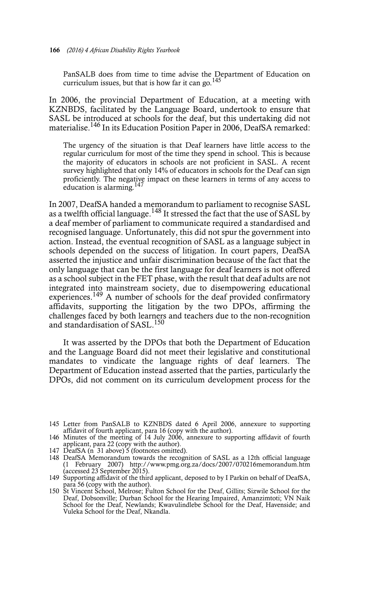PanSALB does from time to time advise the Department of Education on curriculum issues, but that is how far it can go.<sup>145</sup>

In 2006, the provincial Department of Education, at a meeting with KZNBDS, facilitated by the Language Board, undertook to ensure that SASL be introduced at schools for the deaf, but this undertaking did not materialise.<sup>146</sup> In its Education Position Paper in 2006, DeafSA remarked:

The urgency of the situation is that Deaf learners have little access to the regular curriculum for most of the time they spend in school. This is because the majority of educators in schools are not proficient in SASL. A recent survey highlighted that only 14% of educators in schools for the Deaf can sign proficiently. The negative impact on these learners in terms of any access to education is alarming.147

In 2007, DeafSA handed a memorandum to parliament to recognise SASL as a twelfth official language.<sup>148</sup> It stressed the fact that the use of SASL by a deaf member of parliament to communicate required a standardised and recognised language. Unfortunately, this did not spur the government into action. Instead, the eventual recognition of SASL as a language subject in schools depended on the success of litigation. In court papers, DeafSA asserted the injustice and unfair discrimination because of the fact that the only language that can be the first language for deaf learners is not offered as a school subject in the FET phase, with the result that deaf adults are not integrated into mainstream society, due to disempowering educational experiences.<sup>149</sup> A number of schools for the deaf provided confirmatory affidavits, supporting the litigation by the two DPOs, affirming the challenges faced by both learners and teachers due to the non-recognition and standardisation of SASL.<sup>150</sup>

It was asserted by the DPOs that both the Department of Education and the Language Board did not meet their legislative and constitutional mandates to vindicate the language rights of deaf learners. The Department of Education instead asserted that the parties, particularly the DPOs, did not comment on its curriculum development process for the

<sup>145</sup> Letter from PanSALB to KZNBDS dated 6 April 2006, annexure to supporting affidavit of fourth applicant, para 16 (copy with the author).

<sup>146</sup> Minutes of the meeting of 14 July 2006, annexure to supporting affidavit of fourth applicant, para 22 (copy with the author). 147 DeafSA (n 31 above) 5 (footnotes omitted).

<sup>148</sup> DeafSA Memorandum towards the recognition of SASL as a 12th official language (1 February 2007) http://www.pmg.org.za/docs/2007/070216memorandum.htm (accessed 23 September 2015).

<sup>149</sup> Supporting affidavit of the third applicant, deposed to by I Parkin on behalf of DeafSA,

para 56 (copy with the author). 150 St Vincent School, Melrose; Fulton School for the Deaf, Gillits; Sizwile School for the Deaf, Dobsonville; Durban School for the Hearing Impaired, Amanzimtoti; VN Naik School for the Deaf, Newlands; Kwavulindlebe School for the Deaf, Havenside; and Vuleka School for the Deaf, Nkandla.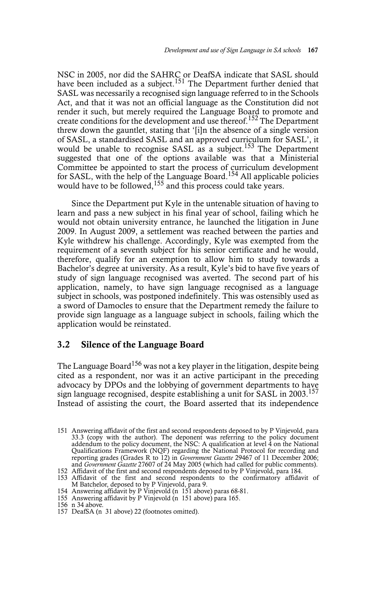NSC in 2005, nor did the SAHRC or DeafSA indicate that SASL should have been included as a subject.<sup>151</sup> The Department further denied that SASL was necessarily a recognised sign language referred to in the Schools Act, and that it was not an official language as the Constitution did not render it such, but merely required the Language Board to promote and create conditions for the development and use thereof.<sup>152</sup> The Department threw down the gauntlet, stating that '[i]n the absence of a single version of SASL, a standardised SASL and an approved curriculum for SASL', it would be unable to recognise SASL as a subject.<sup>153</sup> The Department suggested that one of the options available was that a Ministerial Committee be appointed to start the process of curriculum development for SASL, with the help of the Language Board.<sup>154</sup> All applicable policies would have to be followed,  $155$  and this process could take years.

Since the Department put Kyle in the untenable situation of having to learn and pass a new subject in his final year of school, failing which he would not obtain university entrance, he launched the litigation in June 2009. In August 2009, a settlement was reached between the parties and Kyle withdrew his challenge. Accordingly, Kyle was exempted from the requirement of a seventh subject for his senior certificate and he would, therefore, qualify for an exemption to allow him to study towards a Bachelor's degree at university. As a result, Kyle's bid to have five years of study of sign language recognised was averted. The second part of his application, namely, to have sign language recognised as a language subject in schools, was postponed indefinitely. This was ostensibly used as a sword of Damocles to ensure that the Department remedy the failure to provide sign language as a language subject in schools, failing which the application would be reinstated.

#### **3.2 Silence of the Language Board**

The Language Board<sup>156</sup> was not a key player in the litigation, despite being cited as a respondent, nor was it an active participant in the preceding advocacy by DPOs and the lobbying of government departments to have sign language recognised, despite establishing a unit for SASL in 2003.<sup>157</sup> Instead of assisting the court, the Board asserted that its independence

<sup>151</sup> Answering affidavit of the first and second respondents deposed to by P Vinjevold, para 33.3 (copy with the author). The deponent was referring to the policy document addendum to the policy document, the NSC: A qualification at level  $\overline{4}$  on the National Qualifications Framework (NQF) regarding the National Protocol for recording and reporting grades (Grades R to 12) in *Government Gazette* 29467 of 11 December 2006; and *Government Gazette* 27607 of 24 May 2005 (which had called for public comments).

<sup>152</sup> Affidavit of the first and second respondents deposed to by P Vinjevold, para 184.

<sup>153</sup> Affidavit of the first and second respondents to the confirmatory affidavit of M Batchelor, deposed to by P Vinjevold, para 9.

<sup>154</sup> Answering affidavit by P Vinjevold (n 151 above) paras 68-81. 155 Answering affidavit by P Vinjevold (n 151 above) para 165.

<sup>156</sup> n 34 above.

<sup>157</sup> DeafSA (n 31 above) 22 (footnotes omitted).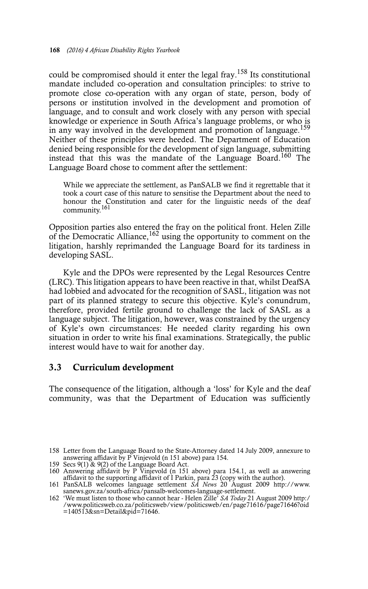could be compromised should it enter the legal fray.<sup>158</sup> Its constitutional mandate included co-operation and consultation principles: to strive to promote close co-operation with any organ of state, person, body of persons or institution involved in the development and promotion of language, and to consult and work closely with any person with special knowledge or experience in South Africa's language problems, or who is in any way involved in the development and promotion of language.159 Neither of these principles were heeded. The Department of Education denied being responsible for the development of sign language, submitting instead that this was the mandate of the Language Board.<sup>160</sup> The Language Board chose to comment after the settlement:

While we appreciate the settlement, as PanSALB we find it regrettable that it took a court case of this nature to sensitise the Department about the need to honour the Constitution and cater for the linguistic needs of the deaf community.<sup>161</sup>

Opposition parties also entered the fray on the political front. Helen Zille of the Democratic Alliance,  $162$  using the opportunity to comment on the litigation, harshly reprimanded the Language Board for its tardiness in developing SASL.

Kyle and the DPOs were represented by the Legal Resources Centre (LRC). This litigation appears to have been reactive in that, whilst DeafSA had lobbied and advocated for the recognition of SASL, litigation was not part of its planned strategy to secure this objective. Kyle's conundrum, therefore, provided fertile ground to challenge the lack of SASL as a language subject. The litigation, however, was constrained by the urgency of Kyle's own circumstances: He needed clarity regarding his own situation in order to write his final examinations. Strategically, the public interest would have to wait for another day.

#### **3.3 Curriculum development**

The consequence of the litigation, although a 'loss' for Kyle and the deaf community, was that the Department of Education was sufficiently

<sup>158</sup> Letter from the Language Board to the State-Attorney dated 14 July 2009, annexure to answering affidavit by P Vinjevold (n 151 above) para 154.

<sup>159</sup> Secs 9(1) & 9(2) of the Language Board Act. 160 Answering affidavit by P Vinjevold (n 151 above) para 154.1, as well as answering affidavit to the supporting affidavit of I Parkin, para 23 (copy with the author).

<sup>161</sup> PanSALB welcomes language settlement *SA News* 20 August 2009 http://www. sanews.gov.za/south-africa/pansalb-welcomes-language-settlement. 162 'We must listen to those who cannot hear - Helen Zille' *SA Today* 21 August 2009 http:/

<sup>/</sup>www.politicsweb.co.za/politicsweb/view/politicsweb/en/page71616/page71646?oid  $=140513$ &sn=Detail&pid=71646.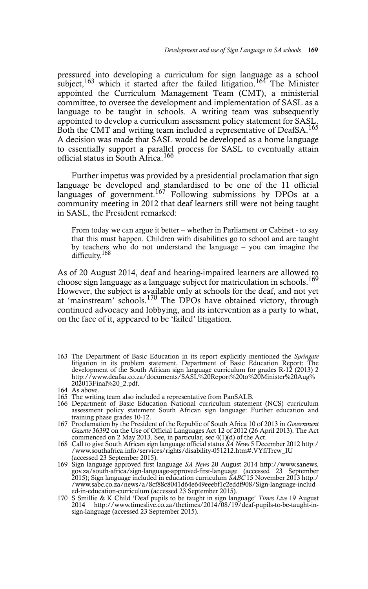pressured into developing a curriculum for sign language as a school subject,  $163$  which it started after the failed litigation.<sup>164</sup> The Minister appointed the Curriculum Management Team (CMT), a ministerial committee, to oversee the development and implementation of SASL as a language to be taught in schools. A writing team was subsequently appointed to develop a curriculum assessment policy statement for SASL. Both the CMT and writing team included a representative of DeafSA.<sup>165</sup> A decision was made that SASL would be developed as a home language to essentially support a parallel process for SASL to eventually attain official status in South Africa.<sup>166</sup>

Further impetus was provided by a presidential proclamation that sign language be developed and standardised to be one of the 11 official languages of government.<sup>167</sup> Following submissions by DPOs at a community meeting in 2012 that deaf learners still were not being taught in SASL, the President remarked:

From today we can argue it better – whether in Parliament or Cabinet - to say that this must happen. Children with disabilities go to school and are taught by teachers who do not understand the language – you can imagine the difficulty.<sup>168</sup>

As of 20 August 2014, deaf and hearing-impaired learners are allowed to choose sign language as a language subject for matriculation in schools.<sup>169</sup> However, the subject is available only at schools for the deaf, and not yet at 'mainstream' schools.<sup>170</sup> The DPOs have obtained victory, through continued advocacy and lobbying, and its intervention as a party to what, on the face of it, appeared to be 'failed' litigation.

- 163 The Department of Basic Education in its report explicitly mentioned the *Springate* litigation in its problem statement. Department of Basic Education Report: The development of the South African sign language curriculum for grades R-12 (2013) 2 http://www.deafsa.co.za/documents/SASL%20Report%20to%20Minister%20Aug% 202013Final%20\_2.pdf.
- 164 As above.
- 165 The writing team also included a representative from PanSALB.
- 166 Department of Basic Education National curriculum statement (NCS) curriculum assessment policy statement South African sign language: Further education and training phase grades 10-12.
- 167 Proclamation by the President of the Republic of South Africa 10 of 2013 in *Government Gazette* 36392 on the Use of Official Languages Act 12 of 2012 (26 April 2013). The Act commenced on 2 May 2013. See, in particular, sec 4(1)(d) of the Act.
- 168 Call to give South African sign language official status *SA News* 5 December 2012 http:/ /www.southafrica.info/services/rights/disability-051212.htm#.VYfiTrcw\_IU (accessed 23 September 2015).
- 169 Sign language approved first language *SA News* 20 August 2014 http://www.sanews.<br>gov.za/south-africa/sign-language-approved-first-language (accessed 23 September<br>2015); Sign language included in education curriculum ed-in-education-curriculum (accessed 23 September 2015).
- 170 S Smillie & K Child 'Deaf pupils to be taught in sign language' *Times Live* 19 August 2014 http://www.timeslive.co.za/thetimes/2014/08/19/deaf-pupils-to-be-taught-insign-language (accessed 23 September 2015).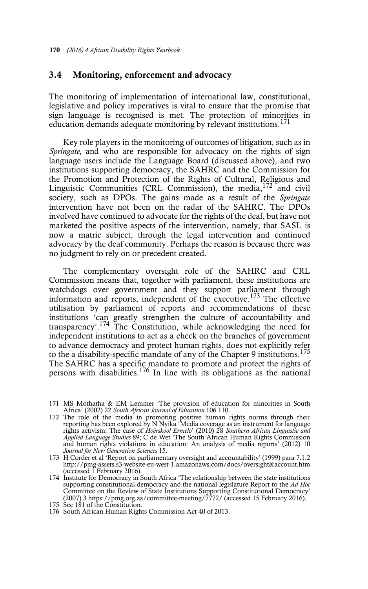#### **3.4 Monitoring, enforcement and advocacy**

The monitoring of implementation of international law, constitutional, legislative and policy imperatives is vital to ensure that the promise that sign language is recognised is met. The protection of minorities in education demands adequate monitoring by relevant institutions.<sup>171</sup>

Key role players in the monitoring of outcomes of litigation, such as in *Springate,* and who are responsible for advocacy on the rights of sign language users include the Language Board (discussed above), and two institutions supporting democracy, the SAHRC and the Commission for the Promotion and Protection of the Rights of Cultural, Religious and Linguistic Communities (CRL Commission), the media,<sup>172</sup> and civil society, such as DPOs. The gains made as a result of the *Springate* intervention have not been on the radar of the SAHRC. The DPOs involved have continued to advocate for the rights of the deaf, but have not marketed the positive aspects of the intervention, namely, that SASL is now a matric subject, through the legal intervention and continued advocacy by the deaf community. Perhaps the reason is because there was no judgment to rely on or precedent created.

The complementary oversight role of the SAHRC and CRL Commission means that, together with parliament, these institutions are watchdogs over government and they support parliament through information and reports, independent of the executive.173 The effective utilisation by parliament of reports and recommendations of these institutions 'can greatly strengthen the culture of accountability and transparency'.<sup>174</sup> The Constitution, while acknowledging the need for independent institutions to act as a check on the branches of government to advance democracy and protect human rights, does not explicitly refer to the a disability-specific mandate of any of the Chapter 9 institutions.<sup>175</sup> The SAHRC has a specific mandate to promote and protect the rights of persons with disabilities.<sup>176</sup> In line with its obligations as the national

<sup>171</sup> MS Mothatha & EM Lemmer 'The provision of education for minorities in South Africa' (2002) 22 *South African Journal of Education* 106 110.

<sup>172</sup> The role of the media in promoting positive human rights norms through their reporting has been explored by N Nyika 'Media coverage as an instrument for language<br>rights activism: The case of *Hoërskool Ermelo*' (2010) 28 *Southern African Linguistic and*<br>*Applied Language Studies* 89; C de Wet 'The *Journal for New Generation Sciences* 15.

<sup>173</sup> H Corder et al 'Report on parliamentary oversight and accountability' (1999) para 7.1.2 http://pmg-assets.s3-website-eu-west-1.amazonaws.com/docs/oversight&account.htm (accessed 1 February 2016).

<sup>174</sup> Institute for Democracy in South Africa 'The relationship between the state institutions supporting constitutional democracy and the national legislature Report to the *Ad Hoc* Committee on the Review of State Institutions Supporting Constitutional Democracy' (2007) 3 https://pmg.org.za/committee-meeting/7772/ (accessed 15 February 2016).

<sup>175</sup> Sec 181 of the Constitution.

<sup>176</sup> South African Human Rights Commission Act 40 of 2013.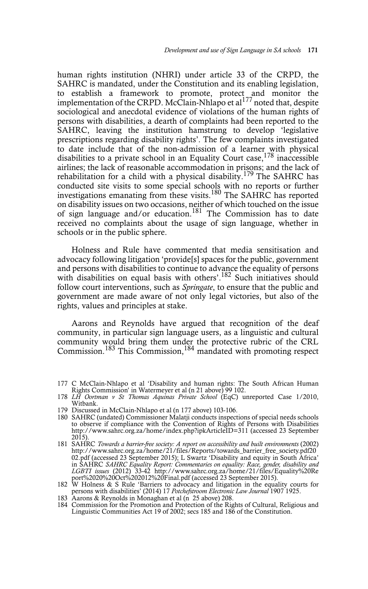human rights institution (NHRI) under article 33 of the CRPD, the SAHRC is mandated, under the Constitution and its enabling legislation, to establish a framework to promote, protect and monitor the implementation of the CRPD. McClain-Nhlapo et al<sup>177</sup> noted that, despite sociological and anecdotal evidence of violations of the human rights of persons with disabilities, a dearth of complaints had been reported to the SAHRC, leaving the institution hamstrung to develop 'legislative prescriptions regarding disability rights'. The few complaints investigated to date include that of the non-admission of a learner with physical disabilities to a private school in an Equality Court case,  $178$  inaccessible airlines; the lack of reasonable accommodation in prisons; and the lack of rehabilitation for a child with a physical disability.<sup>179</sup> The SAHRC has conducted site visits to some special schools with no reports or further investigations emanating from these visits.<sup>180</sup> The SAHRC has reported on disability issues on two occasions, neither of which touched on the issue of sign language and/or education.181 The Commission has to date received no complaints about the usage of sign language, whether in schools or in the public sphere.

Holness and Rule have commented that media sensitisation and advocacy following litigation 'provide[s] spaces for the public, government and persons with disabilities to continue to advance the equality of persons with disabilities on equal basis with others'.<sup>182</sup> Such initiatives should follow court interventions, such as *Springate*, to ensure that the public and government are made aware of not only legal victories, but also of the rights, values and principles at stake.

Aarons and Reynolds have argued that recognition of the deaf community, in particular sign language users, as a linguistic and cultural community would bring them under the protective rubric of the CRL Commission.<sup>183</sup> This Commission,<sup>184</sup> mandated with promoting respect

- 179 Discussed in McClain-Nhlapo et al (n 177 above) 103-106.
- 180 SAHRC (undated) Commissioner Malatji conducts inspections of special needs schools to observe if compliance with the Convention of Rights of Persons with Disabilities http://www.sahrc.org.za/home/index.php?ipkArticleID=311 (accessed 23 September 2015).
- 181 SAHRC *Towards a barrier-free society: A report on accessibility and built environments* (2002) http://www.sahrc.org.za/home/21/files/Reports/towards\_barrier\_free\_society.pdf20 02.pdf (accessed 23 September 2015); L Swartz 'Disability and equity in South Africa' in SAHRC SAHRC Equality Report: Commentaries on equality: Race, gender, disability and<br>LGBTI issues (2012) 33-42 http://www.sahrc.org.za/home/21/files/Equality%20Re<br>port%2020%20Oct%202012%20Final.pdf (accessed 23 September
- 182 W Holness & S Rule 'Barriers to advocacy and litigation in the equality courts for persons with disabilities' (2014) 17 Potchefstroom Electronic Law Journal 1907 1925.<br>183 Aarons & Reynolds in Monaghan et al (n 25 abov
- 
- 184 Commission for the Promotion and Protection of the Rights of Cultural, Religious and Linguistic Communities Act 19 of 2002; secs 185 and 186 of the Constitution.

<sup>177</sup> C McClain-Nhlapo et al 'Disability and human rights: The South African Human Rights Commission' in Watermeyer et al (n 21 above) 99 102.

<sup>178</sup> *LH Oortman v St Thomas Aquinas Private School* (EqC) unreported Case 1/2010, Witbank.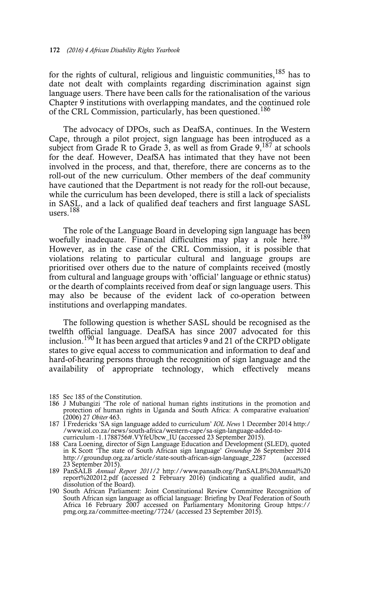for the rights of cultural, religious and linguistic communities,  $185$  has to date not dealt with complaints regarding discrimination against sign language users. There have been calls for the rationalisation of the various Chapter 9 institutions with overlapping mandates, and the continued role of the CRL Commission, particularly, has been questioned.<sup>186</sup>

The advocacy of DPOs, such as DeafSA, continues. In the Western Cape, through a pilot project, sign language has been introduced as a subject from Grade R to Grade 3, as well as from Grade  $9$ ,  $^{187}$  at schools for the deaf. However, DeafSA has intimated that they have not been involved in the process, and that, therefore, there are concerns as to the roll-out of the new curriculum. Other members of the deaf community have cautioned that the Department is not ready for the roll-out because, while the curriculum has been developed, there is still a lack of specialists in SASL, and a lack of qualified deaf teachers and first language SASL users.188

The role of the Language Board in developing sign language has been woefully inadequate. Financial difficulties may play a role here.<sup>189</sup> However, as in the case of the CRL Commission, it is possible that violations relating to particular cultural and language groups are prioritised over others due to the nature of complaints received (mostly from cultural and language groups with 'official' language or ethnic status) or the dearth of complaints received from deaf or sign language users. This may also be because of the evident lack of co-operation between institutions and overlapping mandates.

The following question is whether SASL should be recognised as the twelfth official language. DeafSA has since 2007 advocated for this inclusion.<sup>190</sup> It has been argued that articles 9 and 21 of the CRPD obligate states to give equal access to communication and information to deaf and hard-of-hearing persons through the recognition of sign language and the availability of appropriate technology, which effectively means

- 186 J Mubangizi 'The role of national human rights institutions in the promotion and protection of human rights in Uganda and South Africa: A comparative evaluation' (2006) 27 *Obiter* 463.
- 187 I Fredericks 'SA sign language added to curriculum' *IOL News* 1 December 2014 http:/ /www.iol.co.za/news/south-africa/western-cape/sa-sign-language-added-tocurriculum -1.1788756#.VYfeUbcw\_IU (accessed 23 September 2015).
- 188 Cara Loening, director of Sign Language Education and Development (SLED), quoted in K Scott 'The state of South African sign language' *Groundup* 26 September 2014 http://groundup.org.za/article/state-south-african-sign-language\_2287 (accessed 23 September 2015).
- 189 PanSALB *Annual Report 2011/2* http://www.pansalb.org/PanSALB%20Annual%20 report%202012.pdf (accessed 2 February 2016) (indicating a qualified audit, and dissolution of the Board).
- 190 South African Parliament: Joint Constitutional Review Committee Recognition of South African sign language as official language: Briefing by Deaf Federation of South Africa 16 February 2007 accessed on Parliamentary Monitoring Group https:// pmg.org.za/committee-meeting/7724/ (accessed 23 September 2015).

<sup>185</sup> Sec 185 of the Constitution.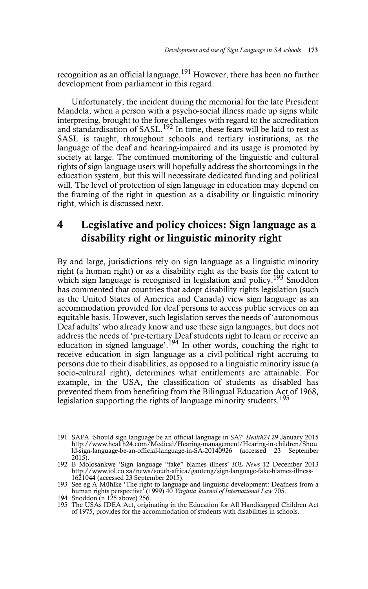recognition as an official language.<sup>191</sup> However, there has been no further development from parliament in this regard.

Unfortunately, the incident during the memorial for the late President Mandela, when a person with a psycho-social illness made up signs while interpreting, brought to the fore challenges with regard to the accreditation and standardisation of SASL.<sup>192</sup> In time, these fears will be laid to rest as SASL is taught, throughout schools and tertiary institutions, as the language of the deaf and hearing-impaired and its usage is promoted by society at large. The continued monitoring of the linguistic and cultural rights of sign language users will hopefully address the shortcomings in the education system, but this will necessitate dedicated funding and political will. The level of protection of sign language in education may depend on the framing of the right in question as a disability or linguistic minority right, which is discussed next.

## **4 Legislative and policy choices: Sign language as a disability right or linguistic minority right**

By and large, jurisdictions rely on sign language as a linguistic minority right (a human right) or as a disability right as the basis for the extent to which sign language is recognised in legislation and policy.<sup>193</sup> Snoddon has commented that countries that adopt disability rights legislation (such as the United States of America and Canada) view sign language as an accommodation provided for deaf persons to access public services on an equitable basis. However, such legislation serves the needs of 'autonomous Deaf adults' who already know and use these sign languages, but does not address the needs of 'pre-tertiary Deaf students right to learn or receive an education in signed language'.<sup>194</sup> In other words, couching the right to receive education in sign language as a civil-political right accruing to persons due to their disabilities, as opposed to a linguistic minority issue (a socio-cultural right), determines what entitlements are attainable. For example, in the USA, the classification of students as disabled has prevented them from benefiting from the Bilingual Education Act of 1968, legislation supporting the rights of language minority students.<sup>195</sup>

<sup>191</sup> SAPA 'Should sign language be an official language in SA?' *Health24* 29 January 2015<br>http://www.health24.com/Medical/Hearing-management/Hearing-in-children/Shou<br>ld-sign-language-be-an-official-language-in-SA-20140926 2015).

<sup>192</sup> B Molosankwe 'Sign language "fake" blames illness' *IOL News* 12 December 2013 http://www.iol.co.za/news/south-africa/gauteng/sign-language-fake-blames-illness-1621044 (accessed 23 September 2015).

<sup>193</sup> See eg A Mühlke 'The right to language and linguistic development: Deafness from a human rights perspective' (1999) 40 *Virginia Journal of International Law* 705. 194 Snoddon (n 125 above) 256.

<sup>195</sup> The USAs IDEA Act, originating in the Education for All Handicapped Children Act of 1975, provides for the accommodation of students with disabilities in schools.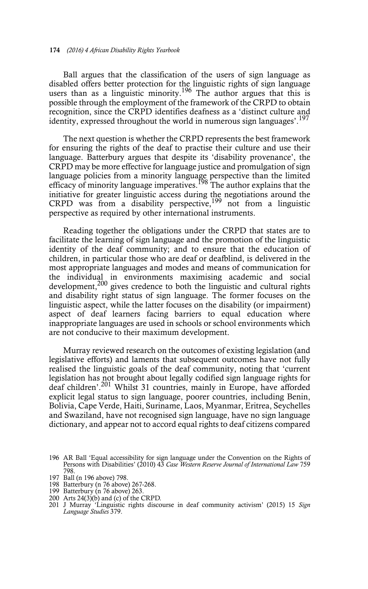Ball argues that the classification of the users of sign language as disabled offers better protection for the linguistic rights of sign language users than as a linguistic minority.<sup>196</sup> The author argues that this is possible through the employment of the framework of the CRPD to obtain recognition, since the CRPD identifies deafness as a 'distinct culture and identity, expressed throughout the world in numerous sign languages'.<sup>197</sup>

The next question is whether the CRPD represents the best framework for ensuring the rights of the deaf to practise their culture and use their language. Batterbury argues that despite its 'disability provenance', the CRPD may be more effective for language justice and promulgation of sign language policies from a minority language perspective than the limited efficacy of minority language imperatives.<sup>198</sup> The author explains that the initiative for greater linguistic access during the negotiations around the CRPD was from a disability perspective,199 not from a linguistic perspective as required by other international instruments.

Reading together the obligations under the CRPD that states are to facilitate the learning of sign language and the promotion of the linguistic identity of the deaf community; and to ensure that the education of children, in particular those who are deaf or deafblind, is delivered in the most appropriate languages and modes and means of communication for the individual in environments maximising academic and social development,  $200$  gives credence to both the linguistic and cultural rights and disability right status of sign language. The former focuses on the linguistic aspect, while the latter focuses on the disability (or impairment) aspect of deaf learners facing barriers to equal education where inappropriate languages are used in schools or school environments which are not conducive to their maximum development.

Murray reviewed research on the outcomes of existing legislation (and legislative efforts) and laments that subsequent outcomes have not fully realised the linguistic goals of the deaf community, noting that 'current legislation has not brought about legally codified sign language rights for deaf children'.201 Whilst 31 countries, mainly in Europe, have afforded explicit legal status to sign language, poorer countries, including Benin, Bolivia, Cape Verde, Haiti, Suriname, Laos, Myanmar, Eritrea, Seychelles and Swaziland, have not recognised sign language, have no sign language dictionary, and appear not to accord equal rights to deaf citizens compared

200 Arts 24(3)(b) and (c) of the CRPD.

<sup>196</sup> AR Ball 'Equal accessibility for sign language under the Convention on the Rights of Persons with Disabilities' (2010) 43 *Case Western Reserve Journal of International Law* 759 798.

<sup>197</sup> Ball (n 196 above) 798.

<sup>198</sup> Batterbury (n 76 above) 267-268.

<sup>199</sup> Batterbury (n 76 above) 263.

<sup>201</sup> J Murray 'Linguistic rights discourse in deaf community activism' (2015) 15 *Sign Language Studies* 379.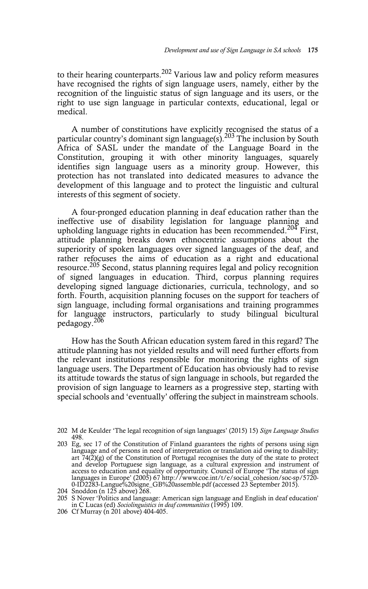to their hearing counterparts.<sup>202</sup> Various law and policy reform measures have recognised the rights of sign language users, namely, either by the recognition of the linguistic status of sign language and its users, or the right to use sign language in particular contexts, educational, legal or medical.

A number of constitutions have explicitly recognised the status of a particular country's dominant sign language(s).<sup>203</sup> The inclusion by South Africa of SASL under the mandate of the Language Board in the Constitution, grouping it with other minority languages, squarely identifies sign language users as a minority group. However, this protection has not translated into dedicated measures to advance the development of this language and to protect the linguistic and cultural interests of this segment of society.

A four-pronged education planning in deaf education rather than the ineffective use of disability legislation for language planning and upholding language rights in education has been recommended.<sup>204</sup> First, attitude planning breaks down ethnocentric assumptions about the superiority of spoken languages over signed languages of the deaf, and rather refocuses the aims of education as a right and educational resource.205 Second, status planning requires legal and policy recognition of signed languages in education. Third, corpus planning requires developing signed language dictionaries, curricula, technology, and so forth. Fourth, acquisition planning focuses on the support for teachers of sign language, including formal organisations and training programmes for language instructors, particularly to study bilingual bicultural pedagogy.206

How has the South African education system fared in this regard? The attitude planning has not yielded results and will need further efforts from the relevant institutions responsible for monitoring the rights of sign language users. The Department of Education has obviously had to revise its attitude towards the status of sign language in schools, but regarded the provision of sign language to learners as a progressive step, starting with special schools and 'eventually' offering the subject in mainstream schools.

<sup>202</sup> M de Keulder 'The legal recognition of sign languages' (2015) 15) *Sign Language Studies* 498.

<sup>203</sup> Eg, sec 17 of the Constitution of Finland guarantees the rights of persons using sign language and of persons in need of interpretation or translation aid owing to disability; art 74(2)(g) of the Constitution of Portugal recognises the duty of the state to protect and develop Portuguese sign language, as a cultural expression and instrument of access to education and equality of opportunity. Council of Europe 'The status of sign languages in Europe' (2005) 67 http://www.coe.int/t/e/social\_cohesion/soc-sp/5720- 0-ID2283-Langue%20signe\_GB%20assemble.pdf (accessed 23 September 2015).

<sup>204</sup> Snoddon (n  $125$  above)  $268$ .

<sup>205</sup> S Nover 'Politics and language: American sign language and English in deaf education' in C Lucas (ed) *Sociolinguistics in deaf communities* (1995) 109.

<sup>206</sup> Cf Murray (n 201 above) 404-405.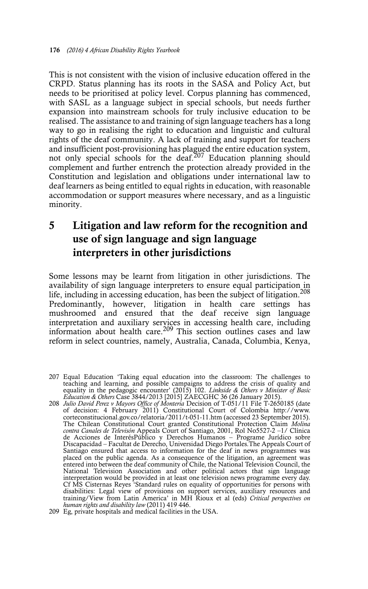This is not consistent with the vision of inclusive education offered in the CRPD. Status planning has its roots in the SASA and Policy Act, but needs to be prioritised at policy level. Corpus planning has commenced, with SASL as a language subject in special schools, but needs further expansion into mainstream schools for truly inclusive education to be realised. The assistance to and training of sign language teachers has a long way to go in realising the right to education and linguistic and cultural rights of the deaf community. A lack of training and support for teachers and insufficient post-provisioning has plagued the entire education system, not only special schools for the deaf.<sup>207</sup> Education planning should complement and further entrench the protection already provided in the Constitution and legislation and obligations under international law to deaf learners as being entitled to equal rights in education, with reasonable accommodation or support measures where necessary, and as a linguistic minority.

## **5 Litigation and law reform for the recognition and use of sign language and sign language interpreters in other jurisdictions**

Some lessons may be learnt from litigation in other jurisdictions. The availability of sign language interpreters to ensure equal participation in life, including in accessing education, has been the subject of litigation.208 Predominantly, however, litigation in health care settings has mushroomed and ensured that the deaf receive sign language interpretation and auxiliary services in accessing health care, including information about health care.<sup>209</sup> This section outlines cases and law reform in select countries, namely, Australia, Canada, Columbia, Kenya,

- 207 Equal Education 'Taking equal education into the classroom: The challenges to teaching and learning, and possible campaigns to address the crisis of quality and equality in the pedagogic encounter' (2015) 102. *Linkside & Others v Minister of Basic Education & Others* Case 3844/2013 [2015] ZAECGHC 36 (26 January 2015).
- 208 *Julio David Perez v Mayors Office of Monteria* Decision of T-051/11 File T-2650185 (date of decision: 4 February 2011) Constitutional Court of Colombia http://www. corteconstitucional.gov.co/relatoria/2011/t-051-11.htm (accessed 23 September 2015). The Chilean Constitutional Court granted Constitutional Protection Claim *Molina contra Canales de Televisón* Appeals Court of Santiago, 2001, Rol No5527-2 –1/ Clínica de Acciones de InterésPúblico y Derechos Humanos – Programe Jurídico sobre Discapacidad – Facultat de Derecho, Universidad Diego Portales.The Appeals Court of Santiago ensured that access to information for the deaf in news programmes was placed on the public agenda. As a consequence of the litigation, an agreement was entered into between the deaf community of Chile, the National Television Council, the National Television Association and other political actors that sign language interpretation would be provided in at least one television news programme every day. Cf MS Cisternas Reyes 'Standard rules on equality of opportunities for persons with disabilities: Legal view of provisions on support services, auxiliary resources and training/View from Latin America' in MH Rioux et al (eds) *Critical perspectives on human rights and disability law* (2011) 419 446.

<sup>209</sup> Eg, private hospitals and medical facilities in the USA.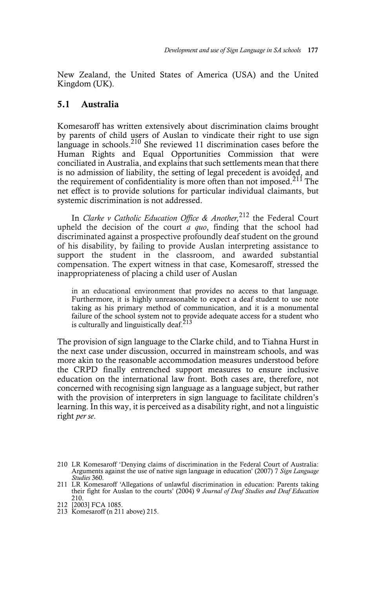New Zealand, the United States of America (USA) and the United Kingdom (UK).

#### **5.1 Australia**

Komesaroff has written extensively about discrimination claims brought by parents of child users of Auslan to vindicate their right to use sign language in schools.<sup>210</sup> She reviewed 11 discrimination cases before the Human Rights and Equal Opportunities Commission that were conciliated in Australia, and explains that such settlements mean that there is no admission of liability, the setting of legal precedent is avoided, and the requirement of confidentiality is more often than not imposed.<sup>211</sup> The net effect is to provide solutions for particular individual claimants, but systemic discrimination is not addressed.

In *Clarke v Catholic Education Office & Another,*212 the Federal Court upheld the decision of the court *a quo*, finding that the school had discriminated against a prospective profoundly deaf student on the ground of his disability, by failing to provide Auslan interpreting assistance to support the student in the classroom, and awarded substantial compensation. The expert witness in that case, Komesaroff, stressed the inappropriateness of placing a child user of Auslan

in an educational environment that provides no access to that language. Furthermore, it is highly unreasonable to expect a deaf student to use note taking as his primary method of communication, and it is a monumental failure of the school system not to provide adequate access for a student who is culturally and linguistically deaf. $213$ 

The provision of sign language to the Clarke child, and to Tiahna Hurst in the next case under discussion, occurred in mainstream schools, and was more akin to the reasonable accommodation measures understood before the CRPD finally entrenched support measures to ensure inclusive education on the international law front. Both cases are, therefore, not concerned with recognising sign language as a language subject, but rather with the provision of interpreters in sign language to facilitate children's learning. In this way, it is perceived as a disability right, and not a linguistic right *per se*.

<sup>210</sup> LR Komesaroff 'Denying claims of discrimination in the Federal Court of Australia: Arguments against the use of native sign language in education' (2007) 7 *Sign Language Studies* 360.

<sup>211</sup> LR Komesaroff 'Allegations of unlawful discrimination in education: Parents taking their fight for Auslan to the courts' (2004) 9 *Journal of Deaf Studies and Deaf Education* 210.

<sup>212 [2003]</sup> FCA 1085.

<sup>213</sup> Komesaroff (n 211 above) 215.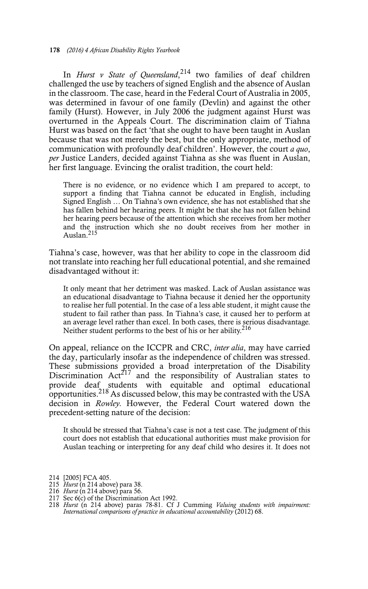In *Hurst v State of Queensland*, 214 two families of deaf children challenged the use by teachers of signed English and the absence of Auslan in the classroom. The case, heard in the Federal Court of Australia in 2005, was determined in favour of one family (Devlin) and against the other family (Hurst). However, in July 2006 the judgment against Hurst was overturned in the Appeals Court. The discrimination claim of Tiahna Hurst was based on the fact 'that she ought to have been taught in Auslan because that was not merely the best, but the only appropriate, method of communication with profoundly deaf children'. However, the court *a quo*, *per* Justice Landers, decided against Tiahna as she was fluent in Auslan, her first language. Evincing the oralist tradition, the court held:

There is no evidence, or no evidence which I am prepared to accept, to support a finding that Tiahna cannot be educated in English, including Signed English … On Tiahna's own evidence, she has not established that she has fallen behind her hearing peers. It might be that she has not fallen behind her hearing peers because of the attention which she receives from her mother and the instruction which she no doubt receives from her mother in Auslan.<sup>215</sup>

Tiahna's case, however, was that her ability to cope in the classroom did not translate into reaching her full educational potential, and she remained disadvantaged without it:

It only meant that her detriment was masked. Lack of Auslan assistance was an educational disadvantage to Tiahna because it denied her the opportunity to realise her full potential. In the case of a less able student, it might cause the student to fail rather than pass. In Tiahna's case, it caused her to perform at an average level rather than excel. In both cases, there is serious disadvantage. Neither student performs to the best of his or her ability.<sup>216</sup>

On appeal, reliance on the ICCPR and CRC, *inter alia*, may have carried the day, particularly insofar as the independence of children was stressed. These submissions provided a broad interpretation of the Disability Discrimination  $Act^{217}$  and the responsibility of Australian states to provide deaf students with equitable and optimal educational opportunities.<sup>218</sup> As discussed below, this may be contrasted with the USA decision in *Rowley.* However, the Federal Court watered down the precedent-setting nature of the decision:

It should be stressed that Tiahna's case is not a test case. The judgment of this court does not establish that educational authorities must make provision for Auslan teaching or interpreting for any deaf child who desires it. It does not

<sup>214 [2005]</sup> FCA 405.

<sup>215</sup> *Hurst* (n 214 above) para 38.

<sup>216</sup> *Hurst* (n 214 above) para 56. 217 Sec 6(c) of the Discrimination Act 1992.

<sup>218</sup> *Hurst* (n 214 above) paras 78-81. Cf J Cumming *Valuing students with impairment: International comparisons of practice in educational accountability* (2012) 68.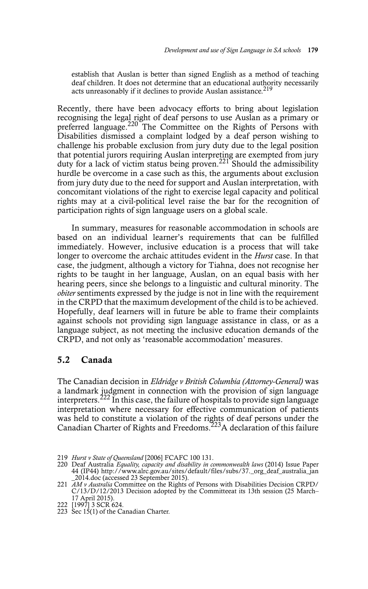establish that Auslan is better than signed English as a method of teaching deaf children. It does not determine that an educational authority necessarily acts unreasonably if it declines to provide Auslan assistance.<sup>219</sup>

Recently, there have been advocacy efforts to bring about legislation recognising the legal right of deaf persons to use Auslan as a primary or preferred language.<sup>220</sup> The Committee on the Rights of Persons with Disabilities dismissed a complaint lodged by a deaf person wishing to challenge his probable exclusion from jury duty due to the legal position that potential jurors requiring Auslan interpreting are exempted from jury duty for a lack of victim status being proven.<sup>221</sup> Should the admissibility hurdle be overcome in a case such as this, the arguments about exclusion from jury duty due to the need for support and Auslan interpretation, with concomitant violations of the right to exercise legal capacity and political rights may at a civil-political level raise the bar for the recognition of participation rights of sign language users on a global scale.

In summary, measures for reasonable accommodation in schools are based on an individual learner's requirements that can be fulfilled immediately. However, inclusive education is a process that will take longer to overcome the archaic attitudes evident in the *Hurst* case. In that case, the judgment, although a victory for Tiahna, does not recognise her rights to be taught in her language, Auslan, on an equal basis with her hearing peers, since she belongs to a linguistic and cultural minority. The *obiter* sentiments expressed by the judge is not in line with the requirement in the CRPD that the maximum development of the child is to be achieved. Hopefully, deaf learners will in future be able to frame their complaints against schools not providing sign language assistance in class, or as a language subject, as not meeting the inclusive education demands of the CRPD, and not only as 'reasonable accommodation' measures.

#### **5.2 Canada**

The Canadian decision in *Eldridge v British Columbia (Attorney-General)* was a landmark judgment in connection with the provision of sign language interpreters.<sup>222</sup> In this case, the failure of hospitals to provide sign language interpretation where necessary for effective communication of patients was held to constitute a violation of the rights of deaf persons under the Canadian Charter of Rights and Freedoms.<sup>223</sup>A declaration of this failure

<sup>219</sup> *Hurst v State of Queensland* [2006] FCAFC 100 131.

<sup>220</sup> Deaf Australia *Equality, capacity and disability in commonwealth laws* (2014) Issue Paper 44 (IP44) http://www.alrc.gov.au/sites/default/files/subs/37.\_org\_deaf\_australia\_jan \_2014.doc (accessed 23 September 2015).

<sup>221</sup> *AM v Australia* Committee on the Rights of Persons with Disabilities Decision CRPD/ C/13/D/12/2013 Decision adopted by the Committeeat its 13th session (25 March– 17 April 2015).

<sup>222 [1997] 3</sup> SCR 624.

<sup>223</sup> Sec 15(1) of the Canadian Charter.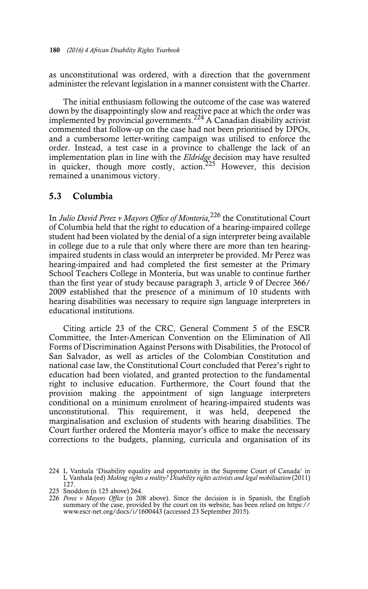as unconstitutional was ordered, with a direction that the government administer the relevant legislation in a manner consistent with the Charter.

The initial enthusiasm following the outcome of the case was watered down by the disappointingly slow and reactive pace at which the order was implemented by provincial governments.224 A Canadian disability activist commented that follow-up on the case had not been prioritised by DPOs, and a cumbersome letter-writing campaign was utilised to enforce the order. Instead, a test case in a province to challenge the lack of an implementation plan in line with the *Eldridge* decision may have resulted in quicker, though more costly, action.<sup>225</sup> However, this decision remained a unanimous victory.

#### **5.3 Columbia**

In *Julio David Perez v Mayors Office of Monteria,*226 the Constitutional Court of Columbia held that the right to education of a hearing-impaired college student had been violated by the denial of a sign interpreter being available in college due to a rule that only where there are more than ten hearingimpaired students in class would an interpreter be provided. Mr Perez was hearing-impaired and had completed the first semester at the Primary School Teachers College in Montería, but was unable to continue further than the first year of study because paragraph 3, article 9 of Decree 366/ 2009 established that the presence of a minimum of 10 students with hearing disabilities was necessary to require sign language interpreters in educational institutions.

Citing article 23 of the CRC, General Comment 5 of the ESCR Committee, the Inter-American Convention on the Elimination of All Forms of Discrimination Against Persons with Disabilities, the Protocol of San Salvador, as well as articles of the Colombian Constitution and national case law, the Constitutional Court concluded that Perez's right to education had been violated, and granted protection to the fundamental right to inclusive education. Furthermore, the Court found that the provision making the appointment of sign language interpreters conditional on a minimum enrolment of hearing-impaired students was unconstitutional. This requirement, it was held, deepened the marginalisation and exclusion of students with hearing disabilities. The Court further ordered the Montería mayor's office to make the necessary corrections to the budgets, planning, curricula and organisation of its

<sup>224</sup> L Vanhala 'Disability equality and opportunity in the Supreme Court of Canada' in L Vanhala (ed) *Making rights a reality? Disability rights activists and legal mobilisation* (2011) 127.

<sup>225</sup> Snoddon (n 125 above) 264.

<sup>226</sup> *Perez v Mayors Office* (n 208 above). Since the decision is in Spanish, the English summary of the case, provided by the court on its website, has been relied on https:// www.escr-net.org/docs/i/1600443 (accessed 23 September 2015).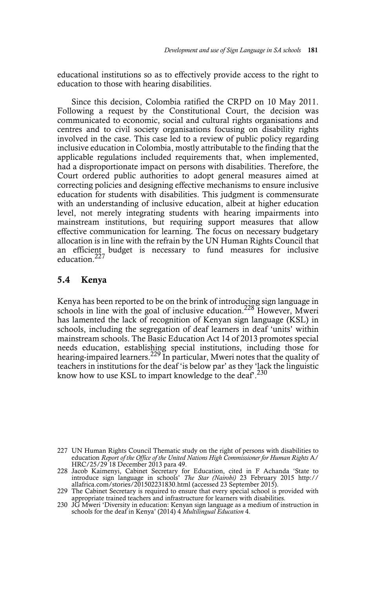educational institutions so as to effectively provide access to the right to education to those with hearing disabilities.

Since this decision, Colombia ratified the CRPD on 10 May 2011. Following a request by the Constitutional Court, the decision was communicated to economic, social and cultural rights organisations and centres and to civil society organisations focusing on disability rights involved in the case. This case led to a review of public policy regarding inclusive education in Colombia, mostly attributable to the finding that the applicable regulations included requirements that, when implemented, had a disproportionate impact on persons with disabilities. Therefore, the Court ordered public authorities to adopt general measures aimed at correcting policies and designing effective mechanisms to ensure inclusive education for students with disabilities. This judgment is commensurate with an understanding of inclusive education, albeit at higher education level, not merely integrating students with hearing impairments into mainstream institutions, but requiring support measures that allow effective communication for learning. The focus on necessary budgetary allocation is in line with the refrain by the UN Human Rights Council that an efficient budget is necessary to fund measures for inclusive education.<sup>227</sup>

#### **5.4 Kenya**

Kenya has been reported to be on the brink of introducing sign language in schools in line with the goal of inclusive education.<sup>228</sup> However, Mweri has lamented the lack of recognition of Kenyan sign language (KSL) in schools, including the segregation of deaf learners in deaf 'units' within mainstream schools. The Basic Education Act 14 of 2013 promotes special needs education, establishing special institutions, including those for hearing-impaired learners.<sup>229</sup> In particular, Mweri notes that the quality of teachers in institutions for the deaf 'is below par' as they 'lack the linguistic know how to use KSL to impart knowledge to the deaf.<sup>230</sup>

<sup>227</sup> UN Human Rights Council Thematic study on the right of persons with disabilities to education *Report of the Office of the United Nations High Commissioner for Human Rights* A/ HRC/25/29 18 December 2013 para 49.

<sup>228</sup> Jacob Kaimenyi, Cabinet Secretary for Education, cited in F Achanda 'State to introduce sign language in schools' *The Star (Nairobi)* 23 February 2015 http://<br>allafrica.com/stories/201502231830.html (accessed 23 Septe

<sup>229</sup> The Cabinet Secretary is required to ensure that every special school is provided with appropriate trained teachers and infrastructure for learners with disabilities.

<sup>230</sup> JG Mweri 'Diversity in education: Kenyan sign language as a medium of instruction in schools for the deaf in Kenya' (2014) 4 *Multilingual Education* 4.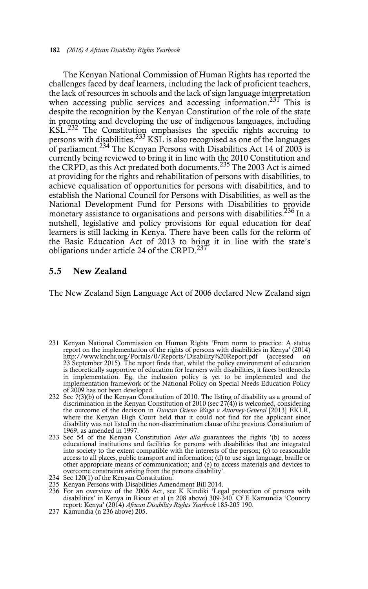The Kenyan National Commission of Human Rights has reported the challenges faced by deaf learners, including the lack of proficient teachers, the lack of resources in schools and the lack of sign language interpretation when accessing public services and accessing information.<sup>231</sup> This is despite the recognition by the Kenyan Constitution of the role of the state in promoting and developing the use of indigenous languages, including KSL.<sup>232</sup> The Constitution emphasises the specific rights accruing to persons with disabilities.<sup>233</sup> KSL is also recognised as one of the languages of parliament.<sup>234</sup> The Kenyan Persons with Disabilities Act 14 of 2003 is currently being reviewed to bring it in line with the 2010 Constitution and the CRPD, as this Act predated both documents.<sup>235</sup> The 2003 Act is aimed at providing for the rights and rehabilitation of persons with disabilities, to achieve equalisation of opportunities for persons with disabilities, and to establish the National Council for Persons with Disabilities, as well as the National Development Fund for Persons with Disabilities to provide monetary assistance to organisations and persons with disabilities.<sup>236</sup> In a nutshell, legislative and policy provisions for equal education for deaf learners is still lacking in Kenya. There have been calls for the reform of the Basic Education Act of 2013 to bring it in line with the state's obligations under article 24 of the CRPD.<sup>237</sup>

#### **5.5 New Zealand**

The New Zealand Sign Language Act of 2006 declared New Zealand sign

- 231 Kenyan National Commission on Human Rights 'From norm to practice: A status report on the implementation of the rights of persons with disabilities in Kenya' (2014) http://www.knchr.org/Portals/0/Reports/Disability%20Report.pdf (accessed on 23 September 2015). The report finds that, whilst the policy environment of education is theoretically supportive of education for learners with disabilities, it faces bottlenecks in implementation. Eg, the inclusion policy is yet to be implemented and the implementation framework of the National Policy on Special Needs Education Policy of 2009 has not been developed.
- 232 Sec 7(3)(b) of the Kenyan Constitution of 2010. The listing of disability as a ground of discrimination in the Kenyan Constitution of 2010 (sec 27(4)) is welcomed, considering the outcome of the decision in *Duncan Otieno Waga v Attorney-General* [2013] EKLR, where the Kenyan High Court held that it could not find for the applicant since disability was not listed in the non-discrimination clause of the previous Constitution of 1969, as amended in 1997.
- 233 Sec 54 of the Kenyan Constitution *inter alia* guarantees the rights '(b) to access educational institutions and facilities for persons with disabilities that are integrated into society to the extent compatible with the interests of the person; (c) to reasonable access to all places, public transport and information; (d) to use sign language, braille or other appropriate means of communication; and (e) to access materials and devices to overcome constraints arising from the persons disability'.
- 234 Sec 120(1) of the Kenyan Constitution.
- 235 Kenyan Persons with Disabilities Amendment Bill 2014.
- 236 For an overview of the 2006 Act, see K Kindiki 'Legal protection of persons with disabilities' in Kenya in Rioux et al (n 208 above) 309-340. Cf E Kamundia 'Country report: Kenya' (2014) *African Disability Rights Yearbook* 185-205 190.
- 237 Kamundia (n 236 above) 205.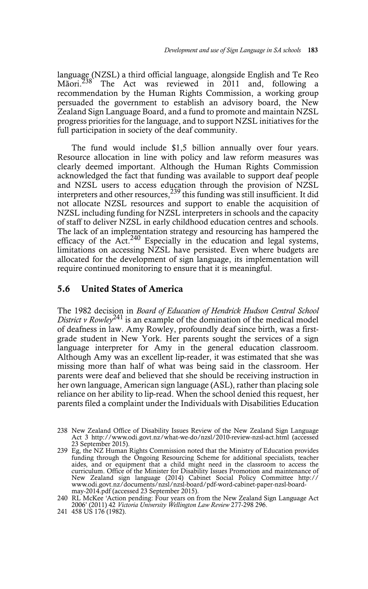language (NZSL) a third official language, alongside English and Te Reo Mãori.<sup>238</sup> The Act was reviewed in 2011 and. following a The Act was reviewed in 2011 and, following a recommendation by the Human Rights Commission, a working group persuaded the government to establish an advisory board, the New Zealand Sign Language Board, and a fund to promote and maintain NZSL progress priorities for the language, and to support NZSL initiatives for the full participation in society of the deaf community.

The fund would include \$1,5 billion annually over four years. Resource allocation in line with policy and law reform measures was clearly deemed important. Although the Human Rights Commission acknowledged the fact that funding was available to support deaf people and NZSL users to access education through the provision of NZSL interpreters and other resources,<sup>239</sup> this funding was still insufficient. It did not allocate NZSL resources and support to enable the acquisition of NZSL including funding for NZSL interpreters in schools and the capacity of staff to deliver NZSL in early childhood education centres and schools. The lack of an implementation strategy and resourcing has hampered the efficacy of the Act.<sup>240</sup> Especially in the education and legal systems, limitations on accessing NZSL have persisted. Even where budgets are allocated for the development of sign language, its implementation will require continued monitoring to ensure that it is meaningful.

#### **5.6 United States of America**

The 1982 decision in *Board of Education of Hendrick Hudson Central School District v Rowley*<sup>241</sup> is an example of the domination of the medical model of deafness in law. Amy Rowley, profoundly deaf since birth, was a firstgrade student in New York. Her parents sought the services of a sign language interpreter for Amy in the general education classroom. Although Amy was an excellent lip-reader, it was estimated that she was missing more than half of what was being said in the classroom. Her parents were deaf and believed that she should be receiving instruction in her own language, American sign language (ASL), rather than placing sole reliance on her ability to lip-read. When the school denied this request, her parents filed a complaint under the Individuals with Disabilities Education

<sup>238</sup> New Zealand Office of Disability Issues Review of the New Zealand Sign Language Act 3 http://www.odi.govt.nz/what-we-do/nzsl/2010-review-nzsl-act.html (accessed 23 September 2015).

<sup>239</sup> Eg, the NZ Human Rights Commission noted that the Ministry of Education provides funding through the Ongoing Resourcing Scheme for additional specialists, teacher aides, and or equipment that a child might need in the classroom to access the curriculum. Office of the Minister for Disability Issues Promotion and maintenance of New Zealand sign language (2014) Cabinet Social Policy Committee http:// www.odi.govt.nz/documents/nzsl/nzsl-board/pdf-word-cabinet-paper-nzsl-boardmay-2014.pdf (accessed 23 September 2015).

<sup>240</sup> RL McKee 'Action pending: Four years on from the New Zealand Sign Language Act 2006' (2011) 42 *Victoria University Wellington Law Review* 277-298 296.

<sup>241 458</sup> US 176 (1982).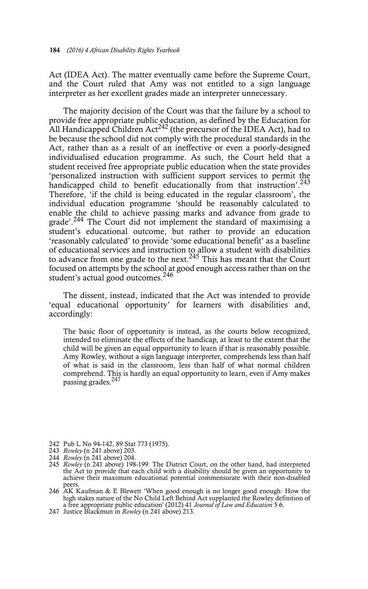Act (IDEA Act). The matter eventually came before the Supreme Court, and the Court ruled that Amy was not entitled to a sign language interpreter as her excellent grades made an interpreter unnecessary.

The majority decision of the Court was that the failure by a school to provide free appropriate public education, as defined by the Education for All Handicapped Children Act<sup>242</sup> (the precursor of the IDEA Act), had to be because the school did not comply with the procedural standards in the Act, rather than as a result of an ineffective or even a poorly-designed individualised education programme. As such, the Court held that a student received free appropriate public education when the state provides 'personalized instruction with sufficient support services to permit the handicapped child to benefit educationally from that instruction'.<sup>243</sup> Therefore, 'if the child is being educated in the regular classroom', the individual education programme 'should be reasonably calculated to enable the child to achieve passing marks and advance from grade to grade'.244 The Court did not implement the standard of maximising a student's educational outcome, but rather to provide an education 'reasonably calculated' to provide 'some educational benefit' as a baseline of educational services and instruction to allow a student with disabilities to advance from one grade to the next.<sup>245</sup> This has meant that the Court focused on attempts by the school at good enough access rather than on the student's actual good outcomes.<sup>246</sup>

The dissent, instead, indicated that the Act was intended to provide 'equal educational opportunity' for learners with disabilities and, accordingly:

The basic floor of opportunity is instead, as the courts below recognized, intended to eliminate the effects of the handicap, at least to the extent that the child will be given an equal opportunity to learn if that is reasonably possible. Amy Rowley, without a sign language interpreter, comprehends less than half of what is said in the classroom, less than half of what normal children comprehend. This is hardly an equal opportunity to learn, even if Amy makes passing grades.<sup>247</sup>

- 242 Pub L No 94-142, 89 Stat 773 (1975).
- 243 *Rowley* (n 241 above) 203.
- 244 *Rowley* (n 241 above) 204.
- 245 *Rowley* (n 241 above) 198-199. The District Court, on the other hand, had interpreted the Act to provide that each child with a disability should be given an opportunity to achieve their maximum educational potential commensurate with their non-disabled peers.
- 246 AK Kaufman & E Blewett 'When good enough is no longer good enough: How the high stakes nature of the No Child Left Behind Act supplanted the Rowley definition of a free appropriate public education' (2012) 41 *Journal of Law and Education* 5 6.
- 247 Justice Blackmun in *Rowley* (n 241 above) 213.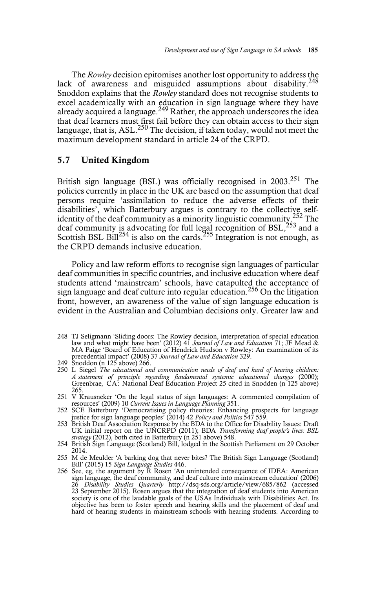The *Rowley* decision epitomises another lost opportunity to address the lack of awareness and misguided assumptions about disability.<sup>248</sup> Snoddon explains that the *Rowley* standard does not recognise students to excel academically with an education in sign language where they have already acquired a language.<sup>249</sup> Rather, the approach underscores the idea that deaf learners must first fail before they can obtain access to their sign language, that is, ASL.<sup>250</sup> The decision, if taken today, would not meet the maximum development standard in article 24 of the CRPD.

#### **5.7 United Kingdom**

British sign language (BSL) was officially recognised in  $2003<sup>251</sup>$  The policies currently in place in the UK are based on the assumption that deaf persons require 'assimilation to reduce the adverse effects of their disabilities', which Batterbury argues is contrary to the collective selfidentity of the deaf community as a minority linguistic community.<sup>252</sup> The deaf community is advocating for full legal recognition of BSL,  $253$  and a Scottish BSL Bill<sup>254</sup> is also on the cards.<sup>255</sup> Integration is not enough, as the CRPD demands inclusive education.

Policy and law reform efforts to recognise sign languages of particular deaf communities in specific countries, and inclusive education where deaf students attend 'mainstream' schools, have catapulted the acceptance of sign language and deaf culture into regular education.256 On the litigation front, however, an awareness of the value of sign language education is evident in the Australian and Columbian decisions only. Greater law and

- 248 TJ Seligmann 'Sliding doors: The Rowley decision, interpretation of special education law and what might have been' (2012) 41 *Journal of Law and Education* 71; JF Mead & MA Paige 'Board of Education of Hendrick Hudson v Rowley: An examination of its precedential impact' (2008) 37 *Journal of Law and Education* 329. 249 Snoddon (n 125 above) 266.
- 
- 250 L Siegel *The educational and communication needs of deaf and hard of hearing children: A statement of principle regarding fundamental systemic educational changes* (2000); Greenbrae, CA: National Deaf Education Project 25 cited in Snodden (n 125 above) 265.
- 251 V Krausneker 'On the legal status of sign languages: A commented compilation of resources' (2009) 10 *Current Issues in Language Planning* 351.
- 252 SCE Batterbury 'Democratising policy theories: Enhancing prospects for language justice for sign language peoples' (2014) 42 *Policy and Politics* 547 559.<br>253 British Deaf Association Response by the BDA to the Office
- UK initial report on the UNCRPD (2011); BDA *Transforming deaf people's lives: BSL*
- *strategy* (2012), both cited in Batterbury (n 251 above) 548. 254 British Sign Language (Scotland) Bill, lodged in the Scottish Parliament on 29 October 2014.
- 255 M de Meulder 'A barking dog that never bites? The British Sign Language (Scotland) Bill' (2015) 15 *Sign Language Studies* 446.
- 256 See, eg, the argument by R Rosen 'An unintended consequence of IDEA: American sign language, the deaf community, and deaf culture into mainstream education' (2006) 26 *Disability Studies Quarterly* http://dsq-sds.org/article/view/685/862 (accessed 23 September 2015). Rosen argues that the integration of deaf students into American society is one of the laudable goals of the USAs Individuals with Disabilities Act. Its objective has been to foster speech and hearing skills and the placement of deaf and hard of hearing students in mainstream schools with hearing students. According to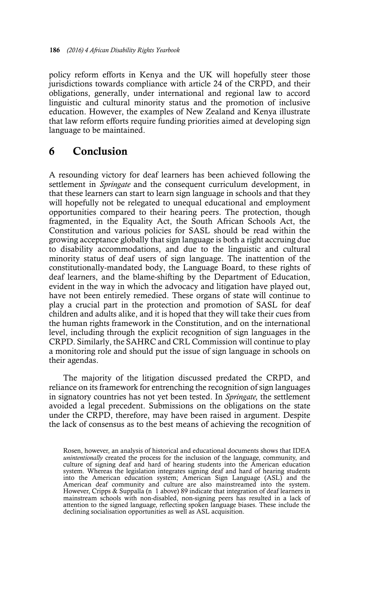policy reform efforts in Kenya and the UK will hopefully steer those jurisdictions towards compliance with article 24 of the CRPD, and their obligations, generally, under international and regional law to accord linguistic and cultural minority status and the promotion of inclusive education. However, the examples of New Zealand and Kenya illustrate that law reform efforts require funding priorities aimed at developing sign language to be maintained.

### **6 Conclusion**

A resounding victory for deaf learners has been achieved following the settlement in *Springate* and the consequent curriculum development, in that these learners can start to learn sign language in schools and that they will hopefully not be relegated to unequal educational and employment opportunities compared to their hearing peers. The protection, though fragmented, in the Equality Act, the South African Schools Act, the Constitution and various policies for SASL should be read within the growing acceptance globally that sign language is both a right accruing due to disability accommodations, and due to the linguistic and cultural minority status of deaf users of sign language. The inattention of the constitutionally-mandated body, the Language Board, to these rights of deaf learners, and the blame-shifting by the Department of Education, evident in the way in which the advocacy and litigation have played out, have not been entirely remedied. These organs of state will continue to play a crucial part in the protection and promotion of SASL for deaf children and adults alike, and it is hoped that they will take their cues from the human rights framework in the Constitution, and on the international level, including through the explicit recognition of sign languages in the CRPD. Similarly, the SAHRC and CRL Commission will continue to play a monitoring role and should put the issue of sign language in schools on their agendas.

The majority of the litigation discussed predated the CRPD, and reliance on its framework for entrenching the recognition of sign languages in signatory countries has not yet been tested. In *Springate,* the settlement avoided a legal precedent. Submissions on the obligations on the state under the CRPD, therefore, may have been raised in argument. Despite the lack of consensus as to the best means of achieving the recognition of

Rosen, however, an analysis of historical and educational documents shows that IDEA *unintentionally* created the process for the inclusion of the language, community, and culture of signing deaf and hard of hearing students into the American education system. Whereas the legislation integrates signing deaf and hard of hearing students into the American education system; American Sign Language (ASL) and the American deaf community and culture are also mainstreamed into the system. However, Cripps & Suppalla (n 1 above) 89 indicate that integration of deaf learners in mainstream schools with non-disabled, non-signing peers has resulted in a lack of attention to the signed language, reflecting spoken language biases. These include the declining socialisation opportunities as well as ASL acquisition.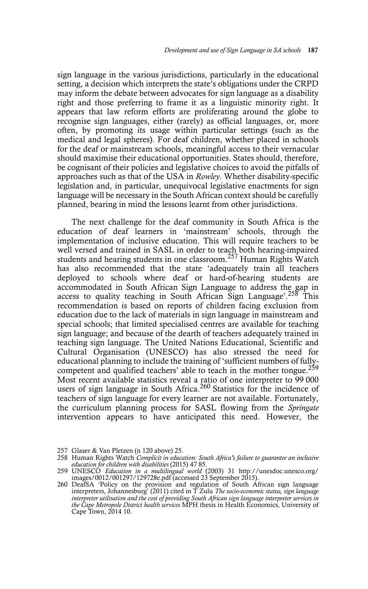sign language in the various jurisdictions, particularly in the educational setting, a decision which interprets the state's obligations under the CRPD may inform the debate between advocates for sign language as a disability right and those preferring to frame it as a linguistic minority right. It appears that law reform efforts are proliferating around the globe to recognise sign languages, either (rarely) as official languages, or, more often, by promoting its usage within particular settings (such as the medical and legal spheres). For deaf children, whether placed in schools for the deaf or mainstream schools, meaningful access to their vernacular should maximise their educational opportunities. States should, therefore, be cognisant of their policies and legislative choices to avoid the pitfalls of approaches such as that of the USA in *Rowley.* Whether disability-specific legislation and, in particular, unequivocal legislative enactments for sign language will be necessary in the South African context should be carefully planned, bearing in mind the lessons learnt from other jurisdictions.

The next challenge for the deaf community in South Africa is the education of deaf learners in 'mainstream' schools, through the implementation of inclusive education. This will require teachers to be well versed and trained in SASL in order to teach both hearing-impaired students and hearing students in one classroom.257 Human Rights Watch has also recommended that the state 'adequately train all teachers deployed to schools where deaf or hard-of-hearing students are accommodated in South African Sign Language to address the gap in access to quality teaching in South African Sign Language'.<sup>258</sup> This recommendation is based on reports of children facing exclusion from education due to the lack of materials in sign language in mainstream and special schools; that limited specialised centres are available for teaching sign language; and because of the dearth of teachers adequately trained in teaching sign language. The United Nations Educational, Scientific and Cultural Organisation (UNESCO) has also stressed the need for educational planning to include the training of 'sufficient numbers of fullycompetent and qualified teachers' able to teach in the mother tongue.<sup>259</sup> Most recent available statistics reveal a ratio of one interpreter to 99 000 users of sign language in South Africa.<sup>260</sup> Statistics for the incidence of teachers of sign language for every learner are not available. Fortunately, the curriculum planning process for SASL flowing from the *Springate* intervention appears to have anticipated this need. However, the

<sup>257</sup> Glaser & Van Pletzen (n 120 above) 25.

<sup>258</sup> Human Rights Watch *Complicit in education: South Africa's failure to guarantee an inclusive education for children with disabilities* (2015) 47 85.

<sup>259</sup> UNESCO *Education in a multilingual world* (2003) 31 http://unesdoc.unesco.org/ images/0012/001297/129728e.pdf (accessed 23 September 2015).

<sup>260</sup> DeafSA 'Policy on the provision and regulation of South African sign language interpreters, Johannesburg' (2011) cited in T Zulu *The socio-economic status, sign language interpreter utilisation and the cost of providing South African sign language interpreter services in the Cape Metropole District health services* MPH thesis in Health Economics, University of Cape Town, 2014 10.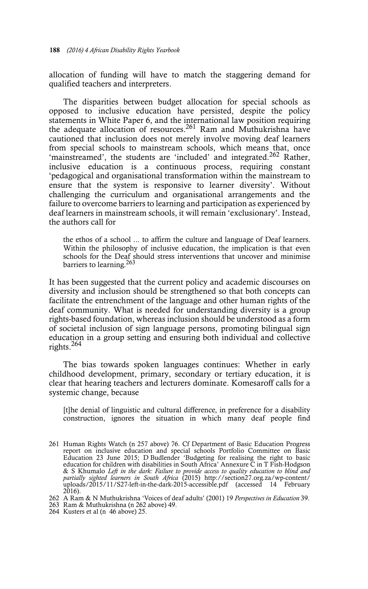allocation of funding will have to match the staggering demand for qualified teachers and interpreters.

The disparities between budget allocation for special schools as opposed to inclusive education have persisted, despite the policy statements in White Paper 6, and the international law position requiring the adequate allocation of resources.<sup>261</sup> Ram and Muthukrishna have cautioned that inclusion does not merely involve moving deaf learners from special schools to mainstream schools, which means that, once 'mainstreamed', the students are 'included' and integrated.<sup>262</sup> Rather, inclusive education is a continuous process, requiring constant 'pedagogical and organisational transformation within the mainstream to ensure that the system is responsive to learner diversity'. Without challenging the curriculum and organisational arrangements and the failure to overcome barriers to learning and participation as experienced by deaf learners in mainstream schools, it will remain 'exclusionary'. Instead, the authors call for

the ethos of a school ... to affirm the culture and language of Deaf learners. Within the philosophy of inclusive education, the implication is that even schools for the Deaf should stress interventions that uncover and minimise barriers to learning.<sup>263</sup>

It has been suggested that the current policy and academic discourses on diversity and inclusion should be strengthened so that both concepts can facilitate the entrenchment of the language and other human rights of the deaf community. What is needed for understanding diversity is a group rights-based foundation, whereas inclusion should be understood as a form of societal inclusion of sign language persons, promoting bilingual sign education in a group setting and ensuring both individual and collective rights.264

The bias towards spoken languages continues: Whether in early childhood development, primary, secondary or tertiary education, it is clear that hearing teachers and lecturers dominate. Komesaroff calls for a systemic change, because

[t]he denial of linguistic and cultural difference, in preference for a disability construction, ignores the situation in which many deaf people find

- 262 A Ram & N Muthukrishna 'Voices of deaf adults' (2001) 19 *Perspectives in Education* 39.
- 263 Ram & Muthukrishna (n 262 above) 49.
- 264 Kusters et al (n 46 above) 25.

<sup>261</sup> Human Rights Watch (n 257 above) 76. Cf Department of Basic Education Progress report on inclusive education and special schools Portfolio Committee on Basic Education 23 June 2015; D Budlender 'Budgeting for realising the right to basic education for children with disabilities in South Africa' Annexure C in T Fish-Hodgson & S Khumalo *Left in the dark: Failure to provide access to quality education to blind and partially sighted learners in South Africa (2015) http://section27.org.za/wp-content/<br>uploads/2015/11/S27-left-in-the-dark-2015-acc*  $2016$ ).